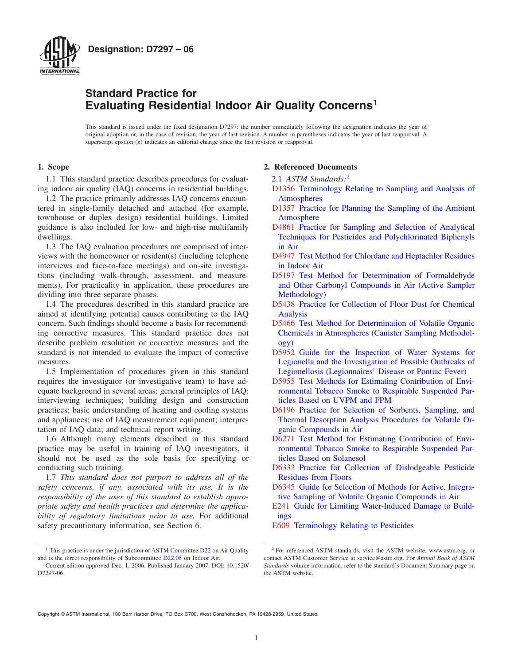

## **Standard Practice for Evaluating Residential Indoor Air Quality Concerns1**

This standard is issued under the fixed designation D7297; the number immediately following the designation indicates the year of original adoption or, in the case of revision, the year of last revision. A number in parentheses indicates the year of last reapproval. A superscript epsilon  $(\varepsilon)$  indicates an editorial change since the last revision or reapproval.

#### **1. Scope**

1.1 This standard practice describes procedures for evaluating indoor air quality (IAQ) concerns in residential buildings.

1.2 The practice primarily addresses IAQ concerns encountered in single-family detached and attached (for example, townhouse or duplex design) residential buildings. Limited guidance is also included for low- and high-rise multifamily dwellings.

1.3 The IAQ evaluation procedures are comprised of interviews with the homeowner or resident(s) (including telephone interviews and face-to-face meetings) and on-site investigations (including walk-through, assessment, and measurements). For practicality in application, these procedures are dividing into three separate phases.

1.4 The procedures described in this standard practice are aimed at identifying potential causes contributing to the IAQ concern. Such findings should become a basis for recommending corrective measures. This standard practice does not describe problem resolution or corrective measures and the standard is not intended to evaluate the impact of corrective measures.

1.5 Implementation of procedures given in this standard requires the investigator (or investigative team) to have adequate background in several areas: general principles of IAQ; interviewing techniques; building design and construction practices; basic understanding of heating and cooling systems and appliances; use of IAQ measurement equipment; interpretation of IAQ data; and technical report writing.

1.6 Although many elements described in this standard practice may be useful in training of IAQ investigators, it should not be used as the sole basis for specifying or conducting such training.

1.7 *This standard does not purport to address all of the safety concerns, if any, associated with its use. It is the responsibility of the user of this standard to establish appropriate safety and health practices and determine the applicability of regulatory limitations prior to use.* For additional safety precautionary information, see Section 6.

#### <span id="page-0-5"></span><span id="page-0-0"></span>**2. Referenced Documents**

- 2.1 *ASTM Standards:*<sup>2</sup>
- [D1356](#page-1-0) [Terminology Relating to Sampling and Analysis of](http://dx.doi.org/10.1520/D1356) [Atmospheres](http://dx.doi.org/10.1520/D1356)
- <span id="page-0-16"></span><span id="page-0-6"></span>[D1357](#page-13-0) [Practice for Planning the Sampling of the Ambient](http://dx.doi.org/10.1520/D1357) **[Atmosphere](http://dx.doi.org/10.1520/D1357)**
- [D4861](#page-13-1) [Practice for Sampling and Selection of Analytical](http://dx.doi.org/10.1520/D4861) [Techniques for Pesticides and Polychlorinated Biphenyls](http://dx.doi.org/10.1520/D4861) [in Air](http://dx.doi.org/10.1520/D4861)
- <span id="page-0-7"></span>[D4947](#page-13-1) [Test Method for Chlordane and Heptachlor Residues](http://dx.doi.org/10.1520/D4947) [in Indoor Air](http://dx.doi.org/10.1520/D4947)
- <span id="page-0-8"></span>[D5197](#page-13-2) [Test Method for Determination of Formaldehyde](http://dx.doi.org/10.1520/D5197) [and Other Carbonyl Compounds in Air \(Active Sampler](http://dx.doi.org/10.1520/D5197) [Methodology\)](http://dx.doi.org/10.1520/D5197)
- <span id="page-0-9"></span><span id="page-0-2"></span>[D5438](#page-13-2) [Practice for Collection of Floor Dust for Chemical](http://dx.doi.org/10.1520/D5438) [Analysis](http://dx.doi.org/10.1520/D5438)
- <span id="page-0-10"></span>[D5466](#page-13-2) [Test Method for Determination of Volatile Organic](http://dx.doi.org/10.1520/D5466) [Chemicals in Atmospheres \(Canister Sampling Methodol](http://dx.doi.org/10.1520/D5466)[ogy\)](http://dx.doi.org/10.1520/D5466)
- <span id="page-0-4"></span>[D5952](#page-11-0) [Guide for the Inspection of Water Systems for](http://dx.doi.org/10.1520/D5952) [Legionella and the Investigation of Possible Outbreaks of](http://dx.doi.org/10.1520/D5952) [Legionellosis \(Legionnaires' Disease or Pontiac Fever\)](http://dx.doi.org/10.1520/D5952)
- <span id="page-0-11"></span>[D5955](#page-13-2) [Test Methods for Estimating Contribution of Envi](http://dx.doi.org/10.1520/D5955)[ronmental Tobacco Smoke to Respirable Suspended Par](http://dx.doi.org/10.1520/D5955)[ticles Based on UVPM and FPM](http://dx.doi.org/10.1520/D5955)
- <span id="page-0-12"></span>[D6196](#page-13-2) [Practice for Selection of Sorbents, Sampling, and](http://dx.doi.org/10.1520/D6196) [Thermal Desorption Analysis Procedures for Volatile Or](http://dx.doi.org/10.1520/D6196)[ganic Compounds in Air](http://dx.doi.org/10.1520/D6196)
- <span id="page-0-13"></span>[D6271](#page-13-2) [Test Method for Estimating Contribution of Envi](http://dx.doi.org/10.1520/D6271)[ronmental Tobacco Smoke to Respirable Suspended Par](http://dx.doi.org/10.1520/D6271)[ticles Based on Solanesol](http://dx.doi.org/10.1520/D6271)
- <span id="page-0-15"></span><span id="page-0-14"></span>[D6333](#page-13-2) [Practice for Collection of Dislodgeable Pesticide](http://dx.doi.org/10.1520/D6333) [Residues from Floors](http://dx.doi.org/10.1520/D6333)
- [D6345](#page-13-3) [Guide for Selection of Methods for Active, Integra](http://dx.doi.org/10.1520/D6345)[tive Sampling of Volatile Organic Compounds in Air](http://dx.doi.org/10.1520/D6345)
- <span id="page-0-3"></span>[E241](#page-10-0) [Guide for Limiting Water-Induced Damage to Build](http://dx.doi.org/10.1520/E0241)[ings](http://dx.doi.org/10.1520/E0241)
- <span id="page-0-1"></span>[E609](#page-1-0) [Terminology Relating to Pesticides](http://dx.doi.org/10.1520/E0609)

<sup>&</sup>lt;sup>1</sup> This practice is under the jurisdiction of ASTM Committee [D22](http://www.astm.org/COMMIT/COMMITTEE/D22.htm) on Air Quality and is the direct responsibility of Subcommittee [D22.05](http://www.astm.org/COMMIT/SUBCOMMIT/D2205.htm) on Indoor Air.

Current edition approved Dec. 1, 2006. Published January 2007. DOI: 10.1520/ D7297-06.

<sup>2</sup> For referenced ASTM standards, visit the ASTM website, www.astm.org, or contact ASTM Customer Service at service@astm.org. For *Annual Book of ASTM Standards* volume information, refer to the standard's Document Summary page on the ASTM website.

Copyright © ASTM International, 100 Barr Harbor Drive, PO Box C700, West Conshohocken, PA 19428-2959, United States.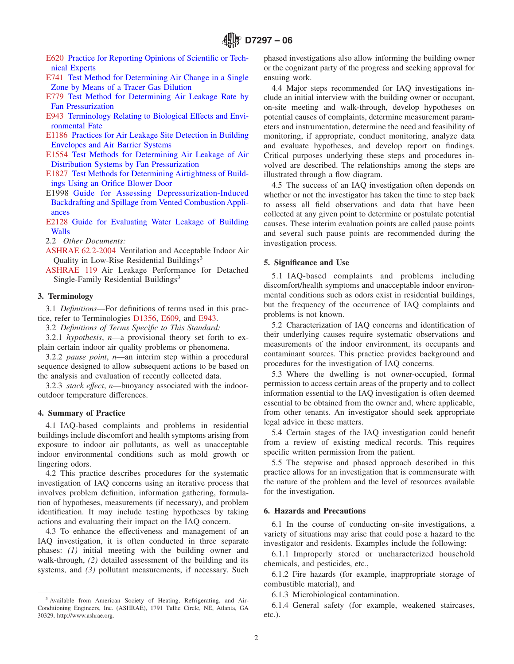- [E620](#page-14-0) [Practice for Reporting Opinions of Scientific or Tech](http://dx.doi.org/10.1520/E0620)[nical Experts](http://dx.doi.org/10.1520/E0620)
- [E741](#page-10-1) [Test Method for Determining Air Change in a Single](http://dx.doi.org/10.1520/E0741) [Zone by Means of a Tracer Gas Dilution](http://dx.doi.org/10.1520/E0741)
- [E779](#page-3-0) [Test Method for Determining Air Leakage Rate by](http://dx.doi.org/10.1520/E0779) [Fan Pressurization](http://dx.doi.org/10.1520/E0779)
- [E943](#page-1-0) [Terminology Relating to Biological Effects and Envi](http://dx.doi.org/10.1520/E0943)[ronmental Fate](http://dx.doi.org/10.1520/E0943)
- [E1186](#page-3-1) [Practices for Air Leakage Site Detection in Building](http://dx.doi.org/10.1520/E1186) [Envelopes and Air Barrier Systems](http://dx.doi.org/10.1520/E1186)
- [E1554](#page-10-2) [Test Methods for Determining Air Leakage of Air](http://dx.doi.org/10.1520/E1554) [Distribution Systems by Fan Pressurization](http://dx.doi.org/10.1520/E1554)
- [E1827](#page-10-3) [Test Methods for Determining Airtightness of Build](http://dx.doi.org/10.1520/E1827)[ings Using an Orifice Blower Door](http://dx.doi.org/10.1520/E1827)
- E1998 [Guide for Assessing Depressurization-Induced](http://dx.doi.org/10.1520/E1998) [Backdrafting and Spillage from Vented Combustion Appli](http://dx.doi.org/10.1520/E1998)[ances](http://dx.doi.org/10.1520/E1998)
- [E2128](#page-3-2) [Guide for Evaluating Water Leakage of Building](http://dx.doi.org/10.1520/E2128) **[Walls](http://dx.doi.org/10.1520/E2128)**
- 2.2 *Other Documents:*
- [ASHRAE 62.2-2004](#page-3-3) Ventilation and Acceptable Indoor Air Quality in Low-Rise Residential Buildings<sup>3</sup>
- [ASHRAE 119](#page-3-4) Air Leakage Performance for Detached Single-Family Residential Buildings<sup>3</sup>

#### **3. Terminology**

3.1 *Definitions*—For definitions of terms used in this practice, refer to Terminologies [D1356,](#page-0-0) [E609,](#page-0-1) and [E943.](#page-1-1)

3.2 *Definitions of Terms Specific to This Standard:*

3.2.1 *hypothesis*, *n*—a provisional theory set forth to explain certain indoor air quality problems or phenomena.

3.2.2 *pause point*, *n*—an interim step within a procedural sequence designed to allow subsequent actions to be based on the analysis and evaluation of recently collected data.

3.2.3 *stack effect*, *n*—buoyancy associated with the indooroutdoor temperature differences.

#### **4. Summary of Practice**

4.1 IAQ-based complaints and problems in residential buildings include discomfort and health symptoms arising from exposure to indoor air pollutants, as well as unacceptable indoor environmental conditions such as mold growth or lingering odors.

4.2 This practice describes procedures for the systematic investigation of IAQ concerns using an iterative process that involves problem definition, information gathering, formulation of hypotheses, measurements (if necessary), and problem identification. It may include testing hypotheses by taking actions and evaluating their impact on the IAQ concern.

4.3 To enhance the effectiveness and management of an IAQ investigation, it is often conducted in three separate phases: *(1)* initial meeting with the building owner and walk-through, *(2)* detailed assessment of the building and its systems, and (3) pollutant measurements, if necessary. Such <span id="page-1-10"></span><span id="page-1-7"></span>phased investigations also allow informing the building owner or the cognizant party of the progress and seeking approval for ensuing work.

<span id="page-1-8"></span><span id="page-1-6"></span><span id="page-1-1"></span>4.4 Major steps recommended for IAQ investigations include an initial interview with the building owner or occupant, on-site meeting and walk-through, develop hypotheses on potential causes of complaints, determine measurement parameters and instrumentation, determine the need and feasibility of monitoring, if appropriate, conduct monitoring, analyze data and evaluate hypotheses, and develop report on findings. Critical purposes underlying these steps and procedures involved are described. The relationships among the steps are illustrated through a flow diagram.

<span id="page-1-9"></span><span id="page-1-5"></span><span id="page-1-4"></span>4.5 The success of an IAQ investigation often depends on whether or not the investigator has taken the time to step back to assess all field observations and data that have been collected at any given point to determine or postulate potential causes. These interim evaluation points are called pause points and several such pause points are recommended during the investigation process.

#### <span id="page-1-3"></span><span id="page-1-2"></span>**5. Significance and Use**

5.1 IAQ-based complaints and problems including discomfort/health symptoms and unacceptable indoor environmental conditions such as odors exist in residential buildings, but the frequency of the occurrence of IAQ complaints and problems is not known.

<span id="page-1-0"></span>5.2 Characterization of IAQ concerns and identification of their underlying causes require systematic observations and measurements of the indoor environment, its occupants and contaminant sources. This practice provides background and procedures for the investigation of IAQ concerns.

5.3 Where the dwelling is not owner-occupied, formal permission to access certain areas of the property and to collect information essential to the IAQ investigation is often deemed essential to be obtained from the owner and, where applicable, from other tenants. An investigator should seek appropriate legal advice in these matters.

5.4 Certain stages of the IAQ investigation could benefit from a review of existing medical records. This requires specific written permission from the patient.

5.5 The stepwise and phased approach described in this practice allows for an investigation that is commensurate with the nature of the problem and the level of resources available for the investigation.

## **6. Hazards and Precautions**

6.1 In the course of conducting on-site investigations, a variety of situations may arise that could pose a hazard to the investigator and residents. Examples include the following:

6.1.1 Improperly stored or uncharacterized household chemicals, and pesticides, etc.,

6.1.2 Fire hazards (for example, inappropriate storage of combustible material), and

6.1.3 Microbiological contamination.

6.1.4 General safety (for example, weakened staircases, etc.).

<sup>3</sup> Available from American Society of Heating, Refrigerating, and Air-Conditioning Engineers, Inc. (ASHRAE), 1791 Tullie Circle, NE, Atlanta, GA 30329, http://www.ashrae.org.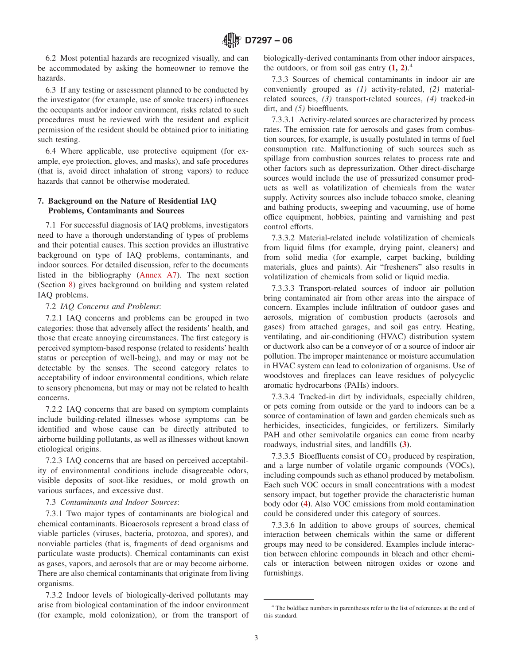6.2 Most potential hazards are recognized visually, and can be accommodated by asking the homeowner to remove the hazards.

6.3 If any testing or assessment planned to be conducted by the investigator (for example, use of smoke tracers) influences the occupants and/or indoor environment, risks related to such procedures must be reviewed with the resident and explicit permission of the resident should be obtained prior to initiating such testing.

6.4 Where applicable, use protective equipment (for example, eye protection, gloves, and masks), and safe procedures (that is, avoid direct inhalation of strong vapors) to reduce hazards that cannot be otherwise moderated.

## **7. Background on the Nature of Residential IAQ Problems, Contaminants and Sources**

7.1 For successful diagnosis of IAQ problems, investigators need to have a thorough understanding of types of problems and their potential causes. This section provides an illustrative background on type of IAQ problems, contaminants, and indoor sources. For detailed discussion, refer to the documents listed in the bibliography [\(Annex A7\)](#page-26-0). The next section (Section [8\)](#page-3-5) gives background on building and system related IAQ problems.

## 7.2 *IAQ Concerns and Problems*:

7.2.1 IAQ concerns and problems can be grouped in two categories: those that adversely affect the residents' health, and those that create annoying circumstances. The first category is perceived symptom-based response (related to residents' health status or perception of well-being), and may or may not be detectable by the senses. The second category relates to acceptability of indoor environmental conditions, which relate to sensory phenomena, but may or may not be related to health concerns.

7.2.2 IAQ concerns that are based on symptom complaints include building-related illnesses whose symptoms can be identified and whose cause can be directly attributed to airborne building pollutants, as well as illnesses without known etiological origins.

7.2.3 IAQ concerns that are based on perceived acceptability of environmental conditions include disagreeable odors, visible deposits of soot-like residues, or mold growth on various surfaces, and excessive dust.

### 7.3 *Contaminants and Indoor Sources*:

7.3.1 Two major types of contaminants are biological and chemical contaminants. Bioaerosols represent a broad class of viable particles (viruses, bacteria, protozoa, and spores), and nonviable particles (that is, fragments of dead organisms and particulate waste products). Chemical contaminants can exist as gases, vapors, and aerosols that are or may become airborne. There are also chemical contaminants that originate from living organisms.

7.3.2 Indoor levels of biologically-derived pollutants may arise from biological contamination of the indoor environment (for example, mold colonization), or from the transport of <span id="page-2-0"></span>biologically-derived contaminants from other indoor airspaces, the outdoors, or from soil gas entry **[\(1,](#page-12-0) [2\)](#page-26-1)**. 4

7.3.3 Sources of chemical contaminants in indoor air are conveniently grouped as *(1)* activity-related, *(2)* materialrelated sources, *(3)* transport-related sources, *(4)* tracked-in dirt, and *(5)* bioeffluents.

7.3.3.1 Activity-related sources are characterized by process rates. The emission rate for aerosols and gases from combustion sources, for example, is usually postulated in terms of fuel consumption rate. Malfunctioning of such sources such as spillage from combustion sources relates to process rate and other factors such as depressurization. Other direct-discharge sources would include the use of pressurized consumer products as well as volatilization of chemicals from the water supply. Activity sources also include tobacco smoke, cleaning and bathing products, sweeping and vacuuming, use of home office equipment, hobbies, painting and varnishing and pest control efforts.

7.3.3.2 Material-related include volatilization of chemicals from liquid films (for example, drying paint, cleaners) and from solid media (for example, carpet backing, building materials, glues and paints). Air "fresheners" also results in volatilization of chemicals from solid or liquid media.

7.3.3.3 Transport-related sources of indoor air pollution bring contaminated air from other areas into the airspace of concern. Examples include infiltration of outdoor gases and aerosols, migration of combustion products (aerosols and gases) from attached garages, and soil gas entry. Heating, ventilating, and air-conditioning (HVAC) distribution system or ductwork also can be a conveyor of or a source of indoor air pollution. The improper maintenance or moisture accumulation in HVAC system can lead to colonization of organisms. Use of woodstoves and fireplaces can leave residues of polycyclic aromatic hydrocarbons (PAHs) indoors.

7.3.3.4 Tracked-in dirt by individuals, especially children, or pets coming from outside or the yard to indoors can be a source of contamination of lawn and garden chemicals such as herbicides, insecticides, fungicides, or fertilizers. Similarly PAH and other semivolatile organics can come from nearby roadways, industrial sites, and landfills **[\(3\)](#page-26-2)**.

<span id="page-2-2"></span><span id="page-2-1"></span>7.3.3.5 Bioeffluents consist of  $CO<sub>2</sub>$  produced by respiration, and a large number of volatile organic compounds (VOCs), including compounds such as ethanol produced by metabolism. Each such VOC occurs in small concentrations with a modest sensory impact, but together provide the characteristic human body odor **[\(4\)](#page-26-3)**. Also VOC emissions from mold contamination could be considered under this category of sources.

7.3.3.6 In addition to above groups of sources, chemical interaction between chemicals within the same or different groups may need to be considered. Examples include interaction between chlorine compounds in bleach and other chemicals or interaction between nitrogen oxides or ozone and furnishings.

<sup>4</sup> The boldface numbers in parentheses refer to the list of references at the end of this standard.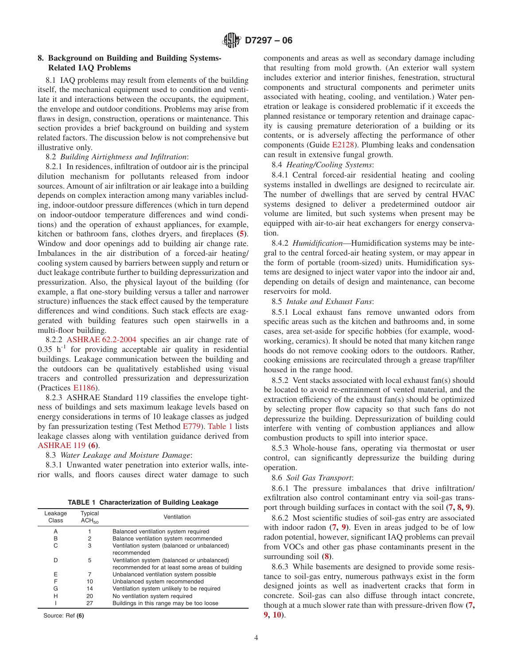### **8. Background on Building and Building Systems-Related IAQ Problems**

8.1 IAQ problems may result from elements of the building itself, the mechanical equipment used to condition and ventilate it and interactions between the occupants, the equipment, the envelope and outdoor conditions. Problems may arise from flaws in design, construction, operations or maintenance. This section provides a brief background on building and system related factors. The discussion below is not comprehensive but illustrative only.

8.2 *Building Airtightness and Infiltration*:

8.2.1 In residences, infiltration of outdoor air is the principal dilution mechanism for pollutants released from indoor sources. Amount of air infiltration or air leakage into a building depends on complex interaction among many variables including, indoor-outdoor pressure differences (which in turn depend on indoor-outdoor temperature differences and wind conditions) and the operation of exhaust appliances, for example, kitchen or bathroom fans, clothes dryers, and fireplaces **[\(5\)](#page-26-4)**. Window and door openings add to building air change rate. Imbalances in the air distribution of a forced-air heating/ cooling system caused by barriers between supply and return or duct leakage contribute further to building depressurization and pressurization. Also, the physical layout of the building (for example, a flat one-story building versus a taller and narrower structure) influences the stack effect caused by the temperature differences and wind conditions. Such stack effects are exaggerated with building features such open stairwells in a multi-floor building.

8.2.2 [ASHRAE 62.2-2004](#page-1-2) specifies an air change rate of  $0.35$  h<sup>-1</sup> for providing acceptable air quality in residential buildings. Leakage communication between the building and the outdoors can be qualitatively established using visual tracers and controlled pressurization and depressurization (Practices [E1186\)](#page-10-4).

8.2.3 ASHRAE Standard 119 classifies the envelope tightness of buildings and sets maximum leakage levels based on energy considerations in terms of 10 leakage classes as judged by fan pressurization testing (Test Method [E779\)](#page-10-3). [Table 1](#page-3-6) lists leakage classes along with ventilation guidance derived from [ASHRAE 119](#page-1-3) **[\(6\)](#page-26-5)**.

8.3 *Water Leakage and Moisture Damage*:

8.3.1 Unwanted water penetration into exterior walls, interior walls, and floors causes direct water damage to such

**TABLE 1 Characterization of Building Leakage**

| Leakage<br>Class | Typical<br>ACH <sub>50</sub> | Ventilation                                                                                    |
|------------------|------------------------------|------------------------------------------------------------------------------------------------|
| A                |                              | Balanced ventilation system required                                                           |
| B                | 2                            | Balance ventilation system recommended                                                         |
| С                | 3                            | Ventilation system (balanced or unbalanced)<br>recommended                                     |
| D                | 5                            | Ventilation system (balanced or unbalanced)<br>recommended for at least some areas of building |
| E                | 7                            | Unbalanced ventilation system possible                                                         |
| F                | 10                           | Unbalanced system recommended                                                                  |
| G                | 14                           | Ventilation system unlikely to be required                                                     |
| н                | 20                           | No ventilation system required                                                                 |
|                  | 27                           | Buildings in this range may be too loose                                                       |

Source: Ref **(6)**

<span id="page-3-5"></span>components and areas as well as secondary damage including that resulting from mold growth. (An exterior wall system includes exterior and interior finishes, fenestration, structural components and structural components and perimeter units associated with heating, cooling, and ventilation.) Water penetration or leakage is considered problematic if it exceeds the planned resistance or temporary retention and drainage capacity is causing premature deterioration of a building or its contents, or is adversely affecting the performance of other components (Guide [E2128\)](#page-10-5). Plumbing leaks and condensation can result in extensive fungal growth.

<span id="page-3-2"></span>8.4 *Heating/Cooling Systems*:

8.4.1 Central forced-air residential heating and cooling systems installed in dwellings are designed to recirculate air. The number of dwellings that are served by central HVAC systems designed to deliver a predetermined outdoor air volume are limited, but such systems when present may be equipped with air-to-air heat exchangers for energy conservation.

<span id="page-3-11"></span>8.4.2 *Humidification*—Humidification systems may be integral to the central forced-air heating system, or may appear in the form of portable (room-sized) units. Humidification systems are designed to inject water vapor into the indoor air and, depending on details of design and maintenance, can become reservoirs for mold.

### <span id="page-3-3"></span>8.5 *Intake and Exhaust Fans*:

8.5.1 Local exhaust fans remove unwanted odors from specific areas such as the kitchen and bathrooms and, in some cases, area set-aside for specific hobbies (for example, woodworking, ceramics). It should be noted that many kitchen range hoods do not remove cooking odors to the outdoors. Rather, cooking emissions are recirculated through a grease trap/filter housed in the range hood.

<span id="page-3-4"></span><span id="page-3-1"></span>8.5.2 Vent stacks associated with local exhaust fan(s) should be located to avoid re-entrainment of vented material, and the extraction efficiency of the exhaust fan(s) should be optimized by selecting proper flow capacity so that such fans do not depressurize the building. Depressurization of building could interfere with venting of combustion appliances and allow combustion products to spill into interior space.

8.5.3 Whole-house fans, operating via thermostat or user control, can significantly depressurize the building during operation.

<span id="page-3-12"></span><span id="page-3-6"></span><span id="page-3-0"></span>8.6 *Soil Gas Transport*:

<span id="page-3-13"></span>8.6.1 The pressure imbalances that drive infiltration/ exfiltration also control contaminant entry via soil-gas transport through building surfaces in contact with the soil **[\(7,](#page-3-7) [8,](#page-3-8) [9\)](#page-3-7)**.

<span id="page-3-7"></span>8.6.2 Most scientific studies of soil-gas entry are associated with indoor radon **[\(7,](#page-3-9) [9\)](#page-3-10)**. Even in areas judged to be of low radon potential, however, significant IAQ problems can prevail from VOCs and other gas phase contaminants present in the surrounding soil **[\(8\)](#page-26-6)**.

<span id="page-3-10"></span><span id="page-3-9"></span><span id="page-3-8"></span>8.6.3 While basements are designed to provide some resistance to soil-gas entry, numerous pathways exist in the form designed joints as well as inadvertent cracks that form in concrete. Soil-gas can also diffuse through intact concrete, though at a much slower rate than with pressure-driven flow **[\(7,](#page-26-7) [9,](#page-11-1) [10\)](#page-26-8)**.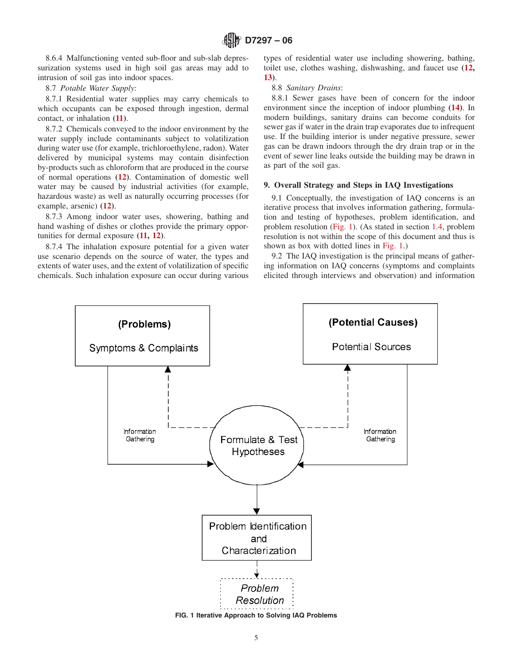8.6.4 Malfunctioning vented sub-floor and sub-slab depressurization systems used in high soil gas areas may add to intrusion of soil gas into indoor spaces.

## 8.7 *Potable Water Supply*:

8.7.1 Residential water supplies may carry chemicals to which occupants can be exposed through ingestion, dermal contact, or inhalation **[\(11\)](#page-4-0)**.

8.7.2 Chemicals conveyed to the indoor environment by the water supply include contaminants subject to volatilization during water use (for example, trichloroethylene, radon). Water delivered by municipal systems may contain disinfection by-products such as chloroform that are produced in the course of normal operations **[\(12\)](#page-4-1)**. Contamination of domestic well water may be caused by industrial activities (for example, hazardous waste) as well as naturally occurring processes (for example, arsenic) **[\(12\)](#page-4-0)**.

8.7.3 Among indoor water uses, showering, bathing and hand washing of dishes or clothes provide the primary opportunities for dermal exposure **[\(11,](#page-26-9) [12\)](#page-4-2)**.

8.7.4 The inhalation exposure potential for a given water use scenario depends on the source of water, the types and extents of water uses, and the extent of volatilization of specific chemicals. Such inhalation exposure can occur during various <span id="page-4-7"></span><span id="page-4-2"></span>types of residential water use including showering, bathing, toilet use, clothes washing, dishwashing, and faucet use **[\(12,](#page-26-10) [13\)](#page-26-11)**.

#### <span id="page-4-5"></span>8.8 *Sanitary Drains*:

<span id="page-4-8"></span>8.8.1 Sewer gases have been of concern for the indoor environment since the inception of indoor plumbing **[\(14\)](#page-27-0)**. In modern buildings, sanitary drains can become conduits for sewer gas if water in the drain trap evaporates due to infrequent use. If the building interior is under negative pressure, sewer gas can be drawn indoors through the dry drain trap or in the event of sewer line leaks outside the building may be drawn in as part of the soil gas.

#### <span id="page-4-6"></span><span id="page-4-4"></span>**9. Overall Strategy and Steps in IAQ Investigations**

<span id="page-4-1"></span><span id="page-4-0"></span>9.1 Conceptually, the investigation of IAQ concerns is an iterative process that involves information gathering, formulation and testing of hypotheses, problem identification, and problem resolution [\(Fig. 1\)](#page-4-3). (As stated in section [1.4,](#page-0-2) problem resolution is not within the scope of this document and thus is shown as box with dotted lines in [Fig. 1.](#page-4-3))

<span id="page-4-3"></span>9.2 The IAQ investigation is the principal means of gathering information on IAQ concerns (symptoms and complaints elicited through interviews and observation) and information

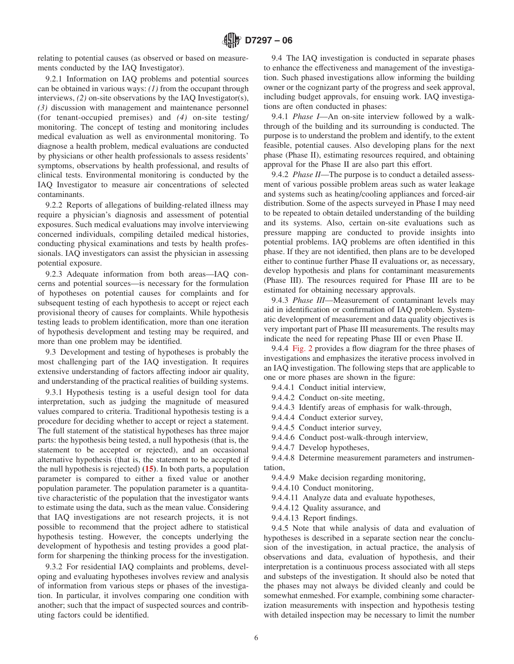relating to potential causes (as observed or based on measurements conducted by the IAQ Investigator).

9.2.1 Information on IAQ problems and potential sources can be obtained in various ways: *(1)* from the occupant through interviews, *(2)* on-site observations by the IAQ Investigator(s), *(3)* discussion with management and maintenance personnel (for tenant-occupied premises) and *(4)* on-site testing/ monitoring. The concept of testing and monitoring includes medical evaluation as well as environmental monitoring. To diagnose a health problem, medical evaluations are conducted by physicians or other health professionals to assess residents' symptoms, observations by health professional, and results of clinical tests. Environmental monitoring is conducted by the IAQ Investigator to measure air concentrations of selected contaminants.

9.2.2 Reports of allegations of building-related illness may require a physician's diagnosis and assessment of potential exposures. Such medical evaluations may involve interviewing concerned individuals, compiling detailed medical histories, conducting physical examinations and tests by health professionals. IAQ investigators can assist the physician in assessing potential exposure.

9.2.3 Adequate information from both areas—IAQ concerns and potential sources—is necessary for the formulation of hypotheses on potential causes for complaints and for subsequent testing of each hypothesis to accept or reject each provisional theory of causes for complaints. While hypothesis testing leads to problem identification, more than one iteration of hypothesis development and testing may be required, and more than one problem may be identified.

9.3 Development and testing of hypotheses is probably the most challenging part of the IAQ investigation. It requires extensive understanding of factors affecting indoor air quality, and understanding of the practical realities of building systems.

9.3.1 Hypothesis testing is a useful design tool for data interpretation, such as judging the magnitude of measured values compared to criteria. Traditional hypothesis testing is a procedure for deciding whether to accept or reject a statement. The full statement of the statistical hypotheses has three major parts: the hypothesis being tested, a null hypothesis (that is, the statement to be accepted or rejected), and an occasional alternative hypothesis (that is, the statement to be accepted if the null hypothesis is rejected) **[\(15\)](#page-27-1)**. In both parts, a population parameter is compared to either a fixed value or another population parameter. The population parameter is a quantitative characteristic of the population that the investigator wants to estimate using the data, such as the mean value. Considering that IAQ investigations are not research projects, it is not possible to recommend that the project adhere to statistical hypothesis testing. However, the concepts underlying the development of hypothesis and testing provides a good platform for sharpening the thinking process for the investigation.

9.3.2 For residential IAQ complaints and problems, developing and evaluating hypotheses involves review and analysis of information from various steps or phases of the investigation. In particular, it involves comparing one condition with another; such that the impact of suspected sources and contributing factors could be identified.

9.4 The IAQ investigation is conducted in separate phases to enhance the effectiveness and management of the investigation. Such phased investigations allow informing the building owner or the cognizant party of the progress and seek approval, including budget approvals, for ensuing work. IAQ investigations are often conducted in phases:

9.4.1 *Phase I*—An on-site interview followed by a walkthrough of the building and its surrounding is conducted. The purpose is to understand the problem and identify, to the extent feasible, potential causes. Also developing plans for the next phase (Phase II), estimating resources required, and obtaining approval for the Phase II are also part this effort.

9.4.2 *Phase II*—The purpose is to conduct a detailed assessment of various possible problem areas such as water leakage and systems such as heating/cooling appliances and forced-air distribution. Some of the aspects surveyed in Phase I may need to be repeated to obtain detailed understanding of the building and its systems. Also, certain on-site evaluations such as pressure mapping are conducted to provide insights into potential problems. IAQ problems are often identified in this phase. If they are not identified, then plans are to be developed either to continue further Phase II evaluations or, as necessary, develop hypothesis and plans for contaminant measurements (Phase III). The resources required for Phase III are to be estimated for obtaining necessary approvals.

9.4.3 *Phase III*—Measurement of contaminant levels may aid in identification or confirmation of IAQ problem. Systematic development of measurement and data quality objectives is very important part of Phase III measurements. The results may indicate the need for repeating Phase III or even Phase II.

9.4.4 [Fig. 2](#page-6-0) provides a flow diagram for the three phases of investigations and emphasizes the iterative process involved in an IAQ investigation. The following steps that are applicable to one or more phases are shown in the figure:

9.4.4.1 Conduct initial interview,

9.4.4.2 Conduct on-site meeting,

9.4.4.3 Identify areas of emphasis for walk-through,

9.4.4.4 Conduct exterior survey,

9.4.4.5 Conduct interior survey,

9.4.4.6 Conduct post-walk-through interview,

<span id="page-5-0"></span>9.4.4.7 Develop hypotheses,

9.4.4.8 Determine measurement parameters and instrumentation,

9.4.4.9 Make decision regarding monitoring,

9.4.4.10 Conduct monitoring,

9.4.4.11 Analyze data and evaluate hypotheses,

9.4.4.12 Quality assurance, and

9.4.4.13 Report findings.

9.4.5 Note that while analysis of data and evaluation of hypotheses is described in a separate section near the conclusion of the investigation, in actual practice, the analysis of observations and data, evaluation of hypothesis, and their interpretation is a continuous process associated with all steps and substeps of the investigation. It should also be noted that the phases may not always be divided cleanly and could be somewhat enmeshed. For example, combining some characterization measurements with inspection and hypothesis testing with detailed inspection may be necessary to limit the number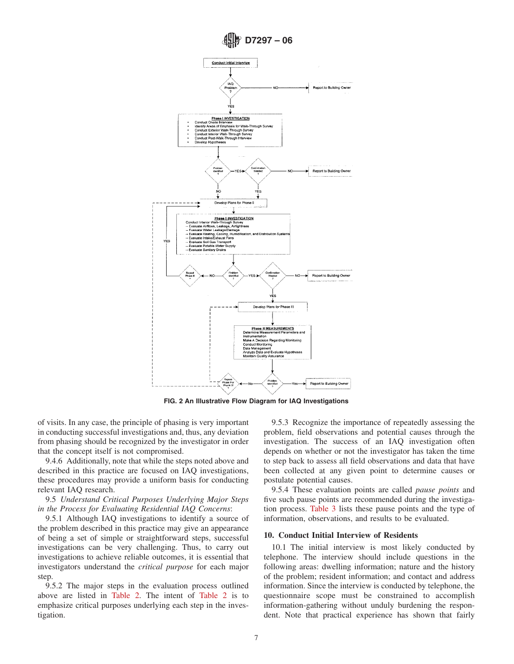<span id="page-6-0"></span>

**FIG. 2 An Illustrative Flow Diagram for IAQ Investigations**

of visits. In any case, the principle of phasing is very important in conducting successful investigations and, thus, any deviation from phasing should be recognized by the investigator in order that the concept itself is not compromised.

9.4.6 Additionally, note that while the steps noted above and described in this practice are focused on IAQ investigations, these procedures may provide a uniform basis for conducting relevant IAQ research.

9.5 *Understand Critical Purposes Underlying Major Steps in the Process for Evaluating Residential IAQ Concerns*:

9.5.1 Although IAQ investigations to identify a source of the problem described in this practice may give an appearance of being a set of simple or straightforward steps, successful investigations can be very challenging. Thus, to carry out investigations to achieve reliable outcomes, it is essential that investigators understand the *critical purpose* for each major step.

9.5.2 The major steps in the evaluation process outlined above are listed in [Table 2.](#page-7-0) The intent of [Table 2](#page-7-0) is to emphasize critical purposes underlying each step in the investigation.

9.5.3 Recognize the importance of repeatedly assessing the problem, field observations and potential causes through the investigation. The success of an IAQ investigation often depends on whether or not the investigator has taken the time to step back to assess all field observations and data that have been collected at any given point to determine causes or postulate potential causes.

9.5.4 These evaluation points are called *pause points* and five such pause points are recommended during the investigation process. [Table 3](#page-7-1) lists these pause points and the type of information, observations, and results to be evaluated.

#### **10. Conduct Initial Interview of Residents**

10.1 The initial interview is most likely conducted by telephone. The interview should include questions in the following areas: dwelling information; nature and the history of the problem; resident information; and contact and address information. Since the interview is conducted by telephone, the questionnaire scope must be constrained to accomplish information-gathering without unduly burdening the respondent. Note that practical experience has shown that fairly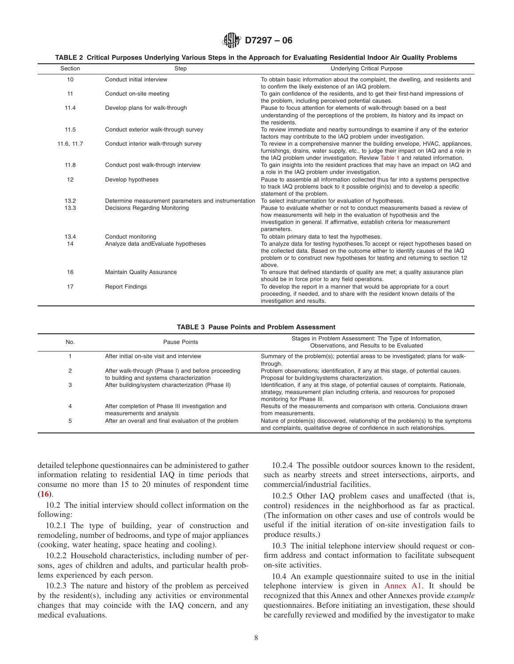<span id="page-7-0"></span>

#### **TABLE 2 Critical Purposes Underlying Various Steps in the Approach for Evaluating Residential Indoor Air Quality Problems**

| Section    | Step                                                 | <b>Underlying Critical Purpose</b>                                                                                                                                                                                                                           |
|------------|------------------------------------------------------|--------------------------------------------------------------------------------------------------------------------------------------------------------------------------------------------------------------------------------------------------------------|
| 10         | Conduct initial interview                            | To obtain basic information about the complaint, the dwelling, and residents and<br>to confirm the likely existence of an IAQ problem.                                                                                                                       |
| 11         | Conduct on-site meeting                              | To gain confidence of the residents, and to get their first-hand impressions of<br>the problem, including perceived potential causes.                                                                                                                        |
| 11.4       | Develop plans for walk-through                       | Pause to focus attention for elements of walk-through based on a best<br>understanding of the perceptions of the problem, its history and its impact on<br>the residents.                                                                                    |
| 11.5       | Conduct exterior walk-through survey                 | To review immediate and nearby surroundings to examine if any of the exterior<br>factors may contribute to the IAQ problem under investigation.                                                                                                              |
| 11.6, 11.7 | Conduct interior walk-through survey                 | To review in a comprehensive manner the building envelope, HVAC, appliances,<br>furnishings, drains, water supply, etc., to judge their impact on IAQ and a role in<br>the IAQ problem under investigation. Review Table 1 and related information.          |
| 11.8       | Conduct post walk-through interview                  | To gain insights into the resident practices that may have an impact on IAQ and<br>a role in the IAQ problem under investigation.                                                                                                                            |
| 12         | Develop hypotheses                                   | Pause to assemble all information collected thus far into a systems perspective<br>to track IAQ problems back to it possible origin(s) and to develop a specific<br>statement of the problem.                                                                |
| 13.2       | Determine measurement parameters and instrumentation | To select instrumentation for evaluation of hypotheses.                                                                                                                                                                                                      |
| 13.3       | Decisions Regarding Monitoring                       | Pause to evaluate whether or not to conduct measurements based a review of<br>how measurements will help in the evaluation of hypothesis and the<br>investigation in general. If affirmative, establish criteria for measurement<br>parameters.              |
| 13.4       | Conduct monitoring                                   | To obtain primary data to test the hypotheses.                                                                                                                                                                                                               |
| 14         | Analyze data and Evaluate hypotheses                 | To analyze data for testing hypotheses. To accept or reject hypotheses based on<br>the collected data. Based on the outcome either to identify causes of the IAQ<br>problem or to construct new hypotheses for testing and returning to section 12<br>above. |
| 16         | <b>Maintain Quality Assurance</b>                    | To ensure that defined standards of quality are met; a quality assurance plan<br>should be in force prior to any field operations.                                                                                                                           |
| 17         | <b>Report Findings</b>                               | To develop the report in a manner that would be appropriate for a court<br>proceeding, if needed, and to share with the resident known details of the<br>investigation and results.                                                                          |

#### **TABLE 3 Pause Points and Problem Assessment**

| No. | Pause Points                                                                                   | Stages in Problem Assessment: The Type of Information,<br>Observations, and Results to be Evaluated                                                                                           |
|-----|------------------------------------------------------------------------------------------------|-----------------------------------------------------------------------------------------------------------------------------------------------------------------------------------------------|
|     | After initial on-site visit and interview                                                      | Summary of the problem(s); potential areas to be investigated; plans for walk-<br>through.                                                                                                    |
| 2   | After walk-through (Phase I) and before proceeding<br>to building and systems characterization | Problem observations; identification, if any at this stage, of potential causes.<br>Proposal for building/systems characterization.                                                           |
| 3   | After building/system characterization (Phase II)                                              | Identification, if any at this stage, of potential causes of complaints. Rationale,<br>strategy, measurement plan including criteria, and resources for proposed<br>monitoring for Phase III. |
| 4   | After completion of Phase III investigation and<br>measurements and analysis                   | Results of the measurements and comparison with criteria. Conclusions drawn<br>from measurements.                                                                                             |
| 5   | After an overall and final evaluation of the problem                                           | Nature of problem(s) discovered, relationship of the problem(s) to the symptoms<br>and complaints, qualitative degree of confidence in such relationships.                                    |

detailed telephone questionnaires can be administered to gather information relating to residential IAQ in time periods that consume no more than 15 to 20 minutes of respondent time **[\(16\)](#page-27-2)**.

10.2 The initial interview should collect information on the following:

10.2.1 The type of building, year of construction and remodeling, number of bedrooms, and type of major appliances (cooking, water heating, space heating and cooling).

10.2.2 Household characteristics, including number of persons, ages of children and adults, and particular health problems experienced by each person.

10.2.3 The nature and history of the problem as perceived by the resident(s), including any activities or environmental changes that may coincide with the IAQ concern, and any medical evaluations.

<span id="page-7-2"></span><span id="page-7-1"></span>10.2.4 The possible outdoor sources known to the resident, such as nearby streets and street intersections, airports, and commercial/industrial facilities.

10.2.5 Other IAQ problem cases and unaffected (that is, control) residences in the neighborhood as far as practical. (The information on other cases and use of controls would be useful if the initial iteration of on-site investigation fails to produce results.)

10.3 The initial telephone interview should request or confirm address and contact information to facilitate subsequent on-site activities.

10.4 An example questionnaire suited to use in the initial telephone interview is given in [Annex A1.](#page-14-1) It should be recognized that this Annex and other Annexes provide *example* questionnaires. Before initiating an investigation, these should be carefully reviewed and modified by the investigator to make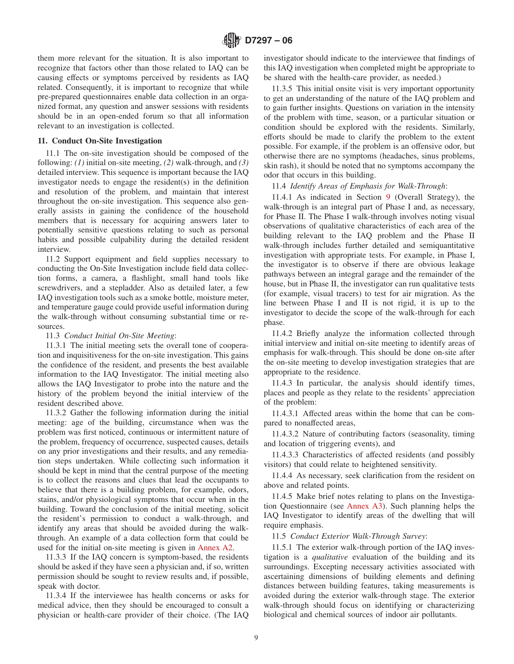them more relevant for the situation. It is also important to recognize that factors other than those related to IAQ can be causing effects or symptoms perceived by residents as IAQ related. Consequently, it is important to recognize that while pre-prepared questionnaires enable data collection in an organized format, any question and answer sessions with residents should be in an open-ended forum so that all information relevant to an investigation is collected.

### **11. Conduct On-Site Investigation**

11.1 The on-site investigation should be composed of the following: *(1)* initial on-site meeting, *(2)* walk-through, and *(3)* detailed interview. This sequence is important because the IAQ investigator needs to engage the resident(s) in the definition and resolution of the problem, and maintain that interest throughout the on-site investigation. This sequence also generally assists in gaining the confidence of the household members that is necessary for acquiring answers later to potentially sensitive questions relating to such as personal habits and possible culpability during the detailed resident interview.

11.2 Support equipment and field supplies necessary to conducting the On-Site Investigation include field data collection forms, a camera, a flashlight, small hand tools like screwdrivers, and a stepladder. Also as detailed later, a few IAQ investigation tools such as a smoke bottle, moisture meter, and temperature gauge could provide useful information during the walk-through without consuming substantial time or resources.

11.3 *Conduct Initial On-Site Meeting*:

11.3.1 The initial meeting sets the overall tone of cooperation and inquisitiveness for the on-site investigation. This gains the confidence of the resident, and presents the best available information to the IAQ Investigator. The initial meeting also allows the IAQ Investigator to probe into the nature and the history of the problem beyond the initial interview of the resident described above.

11.3.2 Gather the following information during the initial meeting: age of the building, circumstance when was the problem was first noticed, continuous or intermittent nature of the problem, frequency of occurrence, suspected causes, details on any prior investigations and their results, and any remediation steps undertaken. While collecting such information it should be kept in mind that the central purpose of the meeting is to collect the reasons and clues that lead the occupants to believe that there is a building problem, for example, odors, stains, and/or physiological symptoms that occur when in the building. Toward the conclusion of the initial meeting, solicit the resident's permission to conduct a walk-through, and identify any areas that should be avoided during the walkthrough. An example of a data collection form that could be used for the initial on-site meeting is given in [Annex A2.](#page-15-0)

11.3.3 If the IAQ concern is symptom-based, the residents should be asked if they have seen a physician and, if so, written permission should be sought to review results and, if possible, speak with doctor.

11.3.4 If the interviewee has health concerns or asks for medical advice, then they should be encouraged to consult a physician or health-care provider of their choice. (The IAQ investigator should indicate to the interviewee that findings of this IAQ investigation when completed might be appropriate to be shared with the health-care provider, as needed.)

11.3.5 This initial onsite visit is very important opportunity to get an understanding of the nature of the IAQ problem and to gain further insights. Questions on variation in the intensity of the problem with time, season, or a particular situation or condition should be explored with the residents. Similarly, efforts should be made to clarify the problem to the extent possible. For example, if the problem is an offensive odor, but otherwise there are no symptoms (headaches, sinus problems, skin rash), it should be noted that no symptoms accompany the odor that occurs in this building.

11.4 *Identify Areas of Emphasis for Walk-Through*:

11.4.1 As indicated in Section [9](#page-4-4) (Overall Strategy), the walk-through is an integral part of Phase I and, as necessary, for Phase II. The Phase I walk-through involves noting visual observations of qualitative characteristics of each area of the building relevant to the IAQ problem and the Phase II walk-through includes further detailed and semiquantitative investigation with appropriate tests. For example, in Phase I, the investigator is to observe if there are obvious leakage pathways between an integral garage and the remainder of the house, but in Phase II, the investigator can run qualitative tests (for example, visual tracers) to test for air migration. As the line between Phase I and II is not rigid, it is up to the investigator to decide the scope of the walk-through for each phase.

11.4.2 Briefly analyze the information collected through initial interview and initial on-site meeting to identify areas of emphasis for walk-through. This should be done on-site after the on-site meeting to develop investigation strategies that are appropriate to the residence.

11.4.3 In particular, the analysis should identify times, places and people as they relate to the residents' appreciation of the problem:

11.4.3.1 Affected areas within the home that can be compared to nonaffected areas,

11.4.3.2 Nature of contributing factors (seasonality, timing and location of triggering events), and

11.4.3.3 Characteristics of affected residents (and possibly visitors) that could relate to heightened sensitivity.

11.4.4 As necessary, seek clarification from the resident on above and related points.

11.4.5 Make brief notes relating to plans on the Investigation Questionnaire (see [Annex A3\)](#page-16-0). Such planning helps the IAQ Investigator to identify areas of the dwelling that will require emphasis.

11.5 *Conduct Exterior Walk-Through Survey*:

11.5.1 The exterior walk-through portion of the IAQ investigation is a *qualitative* evaluation of the building and its surroundings. Excepting necessary activities associated with ascertaining dimensions of building elements and defining distances between building features, taking measurements is avoided during the exterior walk-through stage. The exterior walk-through should focus on identifying or characterizing biological and chemical sources of indoor air pollutants.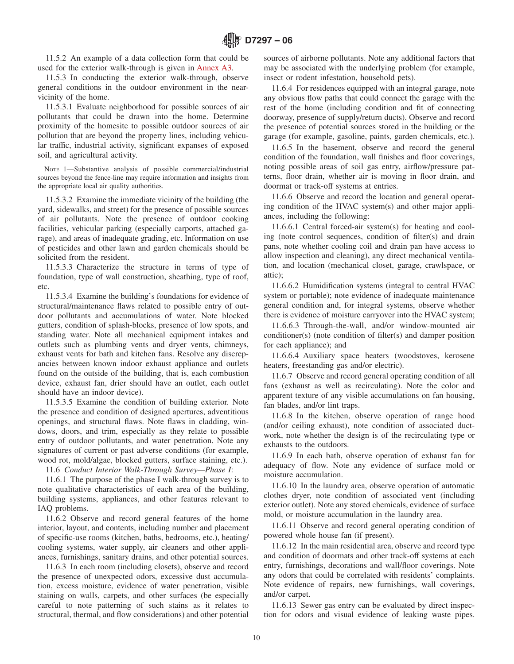11.5.2 An example of a data collection form that could be used for the exterior walk-through is given in [Annex A3.](#page-16-0)

11.5.3 In conducting the exterior walk-through, observe general conditions in the outdoor environment in the nearvicinity of the home.

11.5.3.1 Evaluate neighborhood for possible sources of air pollutants that could be drawn into the home. Determine proximity of the homesite to possible outdoor sources of air pollution that are beyond the property lines, including vehicular traffic, industrial activity, significant expanses of exposed soil, and agricultural activity.

NOTE 1—Substantive analysis of possible commercial/industrial sources beyond the fence-line may require information and insights from the appropriate local air quality authorities.

11.5.3.2 Examine the immediate vicinity of the building (the yard, sidewalks, and street) for the presence of possible sources of air pollutants. Note the presence of outdoor cooking facilities, vehicular parking (especially carports, attached garage), and areas of inadequate grading, etc. Information on use of pesticides and other lawn and garden chemicals should be solicited from the resident.

11.5.3.3 Characterize the structure in terms of type of foundation, type of wall construction, sheathing, type of roof, etc.

11.5.3.4 Examine the building's foundations for evidence of structural/maintenance flaws related to possible entry of outdoor pollutants and accumulations of water. Note blocked gutters, condition of splash-blocks, presence of low spots, and standing water. Note all mechanical equipment intakes and outlets such as plumbing vents and dryer vents, chimneys, exhaust vents for bath and kitchen fans. Resolve any discrepancies between known indoor exhaust appliance and outlets found on the outside of the building, that is, each combustion device, exhaust fan, drier should have an outlet, each outlet should have an indoor device).

11.5.3.5 Examine the condition of building exterior. Note the presence and condition of designed apertures, adventitious openings, and structural flaws. Note flaws in cladding, windows, doors, and trim, especially as they relate to possible entry of outdoor pollutants, and water penetration. Note any signatures of current or past adverse conditions (for example, wood rot, mold/algae, blocked gutters, surface staining, etc.).

11.6 *Conduct Interior Walk-Through Survey—Phase I*:

11.6.1 The purpose of the phase I walk-through survey is to note qualitative characteristics of each area of the building, building systems, appliances, and other features relevant to IAQ problems.

11.6.2 Observe and record general features of the home interior, layout, and contents, including number and placement of specific-use rooms (kitchen, baths, bedrooms, etc.), heating/ cooling systems, water supply, air cleaners and other appliances, furnishings, sanitary drains, and other potential sources.

11.6.3 In each room (including closets), observe and record the presence of unexpected odors, excessive dust accumulation, excess moisture, evidence of water penetration, visible staining on walls, carpets, and other surfaces (be especially careful to note patterning of such stains as it relates to structural, thermal, and flow considerations) and other potential

sources of airborne pollutants. Note any additional factors that may be associated with the underlying problem (for example, insect or rodent infestation, household pets).

11.6.4 For residences equipped with an integral garage, note any obvious flow paths that could connect the garage with the rest of the home (including condition and fit of connecting doorway, presence of supply/return ducts). Observe and record the presence of potential sources stored in the building or the garage (for example, gasoline, paints, garden chemicals, etc.).

11.6.5 In the basement, observe and record the general condition of the foundation, wall finishes and floor coverings, noting possible areas of soil gas entry, airflow/pressure patterns, floor drain, whether air is moving in floor drain, and doormat or track-off systems at entries.

11.6.6 Observe and record the location and general operating condition of the HVAC system(s) and other major appliances, including the following:

11.6.6.1 Central forced-air system(s) for heating and cooling (note control sequences, condition of filter(s) and drain pans, note whether cooling coil and drain pan have access to allow inspection and cleaning), any direct mechanical ventilation, and location (mechanical closet, garage, crawlspace, or attic);

11.6.6.2 Humidification systems (integral to central HVAC system or portable); note evidence of inadequate maintenance general condition and, for integral systems, observe whether there is evidence of moisture carryover into the HVAC system;

11.6.6.3 Through-the-wall, and/or window-mounted air conditioner(s) (note condition of filter(s) and damper position for each appliance); and

11.6.6.4 Auxiliary space heaters (woodstoves, kerosene heaters, freestanding gas and/or electric).

11.6.7 Observe and record general operating condition of all fans (exhaust as well as recirculating). Note the color and apparent texture of any visible accumulations on fan housing, fan blades, and/or lint traps.

11.6.8 In the kitchen, observe operation of range hood (and/or ceiling exhaust), note condition of associated ductwork, note whether the design is of the recirculating type or exhausts to the outdoors.

11.6.9 In each bath, observe operation of exhaust fan for adequacy of flow. Note any evidence of surface mold or moisture accumulation.

11.6.10 In the laundry area, observe operation of automatic clothes dryer, note condition of associated vent (including exterior outlet). Note any stored chemicals, evidence of surface mold, or moisture accumulation in the laundry area.

11.6.11 Observe and record general operating condition of powered whole house fan (if present).

11.6.12 In the main residential area, observe and record type and condition of doormats and other track-off systems at each entry, furnishings, decorations and wall/floor coverings. Note any odors that could be correlated with residents' complaints. Note evidence of repairs, new furnishings, wall coverings, and/or carpet.

11.6.13 Sewer gas entry can be evaluated by direct inspection for odors and visual evidence of leaking waste pipes.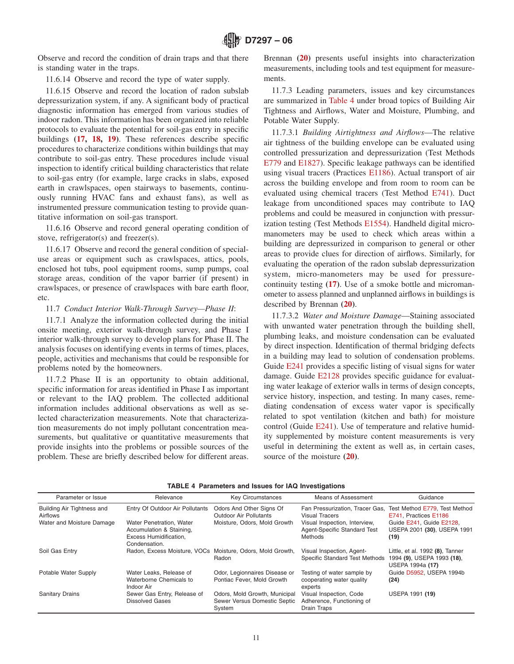Observe and record the condition of drain traps and that there is standing water in the traps.

11.6.14 Observe and record the type of water supply.

11.6.15 Observe and record the location of radon subslab depressurization system, if any. A significant body of practical diagnostic information has emerged from various studies of indoor radon. This information has been organized into reliable protocols to evaluate the potential for soil-gas entry in specific buildings **[\(17,](#page-10-6) [18,](#page-22-0) [19\)](#page-11-2)**. These references describe specific procedures to characterize conditions within buildings that may contribute to soil-gas entry. These procedures include visual inspection to identify critical building characteristics that relate to soil-gas entry (for example, large cracks in slabs, exposed earth in crawlspaces, open stairways to basements, continuously running HVAC fans and exhaust fans), as well as instrumented pressure communication testing to provide quantitative information on soil-gas transport.

11.6.16 Observe and record general operating condition of stove, refrigerator(s) and freezer(s).

11.6.17 Observe and record the general condition of specialuse areas or equipment such as crawlspaces, attics, pools, enclosed hot tubs, pool equipment rooms, sump pumps, coal storage areas, condition of the vapor barrier (if present) in crawlspaces, or presence of crawlspaces with bare earth floor, etc.

## 11.7 *Conduct Interior Walk-Through Survey—Phase II*:

11.7.1 Analyze the information collected during the initial onsite meeting, exterior walk-through survey, and Phase I interior walk-through survey to develop plans for Phase II. The analysis focuses on identifying events in terms of times, places, people, activities and mechanisms that could be responsible for problems noted by the homeowners.

11.7.2 Phase II is an opportunity to obtain additional, specific information for areas identified in Phase I as important or relevant to the IAQ problem. The collected additional information includes additional observations as well as selected characterization measurements. Note that characterization measurements do not imply pollutant concentration measurements, but qualitative or quantitative measurements that provide insights into the problems or possible sources of the problem. These are briefly described below for different areas. <span id="page-10-16"></span>Brennan **[\(20\)](#page-10-7)** presents useful insights into characterization measurements, including tools and test equipment for measurements.

<span id="page-10-9"></span>11.7.3 Leading parameters, issues and key circumstances are summarized in [Table 4](#page-10-8) under broad topics of Building Air Tightness and Airflows, Water and Moisture, Plumbing, and Potable Water Supply.

<span id="page-10-15"></span><span id="page-10-13"></span><span id="page-10-10"></span><span id="page-10-4"></span><span id="page-10-3"></span><span id="page-10-2"></span><span id="page-10-1"></span>11.7.3.1 *Building Airtightness and Airflows*—The relative air tightness of the building envelope can be evaluated using controlled pressurization and depressurization (Test Methods [E779](#page-10-9) and [E1827\)](#page-1-4). Specific leakage pathways can be identified using visual tracers (Practices [E1186\)](#page-10-10). Actual transport of air across the building envelope and from room to room can be evaluated using chemical tracers (Test Method [E741\)](#page-10-10). Duct leakage from unconditioned spaces may contribute to IAQ problems and could be measured in conjunction with pressurization testing (Test Methods [E1554\)](#page-1-5). Handheld digital micromanometers may be used to check which areas within a building are depressurized in comparison to general or other areas to provide clues for direction of airflows. Similarly, for evaluating the operation of the radon subslab depressurization system, micro-manometers may be used for pressurecontinuity testing **[\(17\)](#page-22-0)**. Use of a smoke bottle and micromanometer to assess planned and unplanned airflows in buildings is described by Brennan **[\(20\)](#page-10-11)**.

<span id="page-10-14"></span><span id="page-10-12"></span><span id="page-10-8"></span><span id="page-10-7"></span><span id="page-10-6"></span><span id="page-10-5"></span><span id="page-10-0"></span>11.7.3.2 *Water and Moisture Damage*—Staining associated with unwanted water penetration through the building shell, plumbing leaks, and moisture condensation can be evaluated by direct inspection. Identification of thermal bridging defects in a building may lead to solution of condensation problems. Guide [E241](#page-10-12) provides a specific listing of visual signs for water damage. Guide [E2128](#page-10-13) provides specific guidance for evaluating water leakage of exterior walls in terms of design concepts, service history, inspection, and testing. In many cases, remediating condensation of excess water vapor is specifically related to spot ventilation (kitchen and bath) for moisture control (Guide [E241\)](#page-10-13). Use of temperature and relative humidity supplemented by moisture content measurements is very useful in determining the extent as well as, in certain cases, source of the moisture **[\(20\)](#page-27-3)**.

| Parameter or Issue                     | Relevance                                                                                       | <b>Key Circumstances</b>                                                | Means of Assessment                                                      | Guidance                                                                          |
|----------------------------------------|-------------------------------------------------------------------------------------------------|-------------------------------------------------------------------------|--------------------------------------------------------------------------|-----------------------------------------------------------------------------------|
| Building Air Tightness and<br>Airflows | Entry Of Outdoor Air Pollutants                                                                 | Odors And Other Signs Of<br><b>Outdoor Air Pollutants</b>               | Fan Pressurization, Tracer Gas,<br><b>Visual Tracers</b>                 | Test Method E779. Test Method<br>E741. Practices E1186                            |
| Water and Moisture Damage              | Water Penetration, Water<br>Accumulation & Staining,<br>Excess Humidification,<br>Condensation. | Moisture, Odors, Mold Growth                                            | Visual Inspection, Interview,<br>Agent-Specific Standard Test<br>Methods | Guide E241. Guide E2128.<br>USEPA 2001 (30), USEPA 1991<br>(19)                   |
| Soil Gas Entry                         | Radon, Excess Moisture, VOCs Moisture, Odors, Mold Growth,                                      | Radon                                                                   | Visual Inspection, Agent-<br>Specific Standard Test Methods              | Little, et al. 1992 (8), Tanner<br>1994 (9), USEPA 1993 (18),<br>USEPA 1994a (17) |
| Potable Water Supply                   | Water Leaks, Release of<br>Waterborne Chemicals to<br>Indoor Air                                | Odor, Legionnaires Disease or<br>Pontiac Fever, Mold Growth             | Testing of water sample by<br>cooperating water quality<br>experts       | Guide D5952, USEPA 1994b<br>(24)                                                  |
| <b>Sanitary Drains</b>                 | Sewer Gas Entry, Release of<br>Dissolved Gases                                                  | Odors, Mold Growth, Municipal<br>Sewer Versus Domestic Septic<br>System | Visual Inspection, Code<br>Adherence, Functioning of<br>Drain Traps      | USEPA 1991 (19)                                                                   |

#### <span id="page-10-11"></span>**TABLE 4 Parameters and Issues for IAQ Investigations**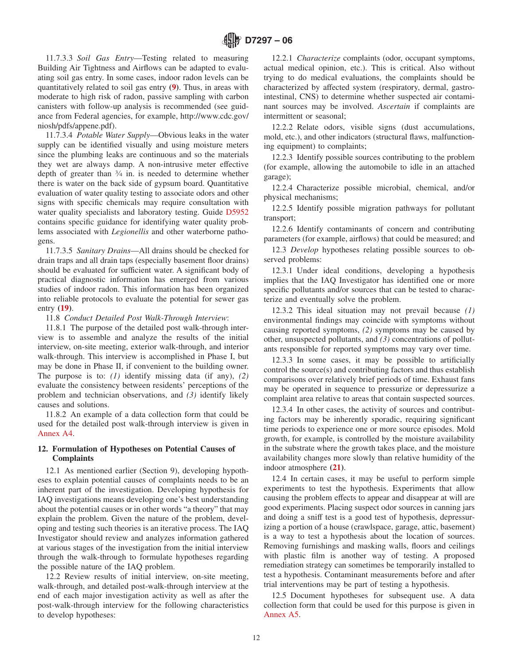11.7.3.3 *Soil Gas Entry*—Testing related to measuring Building Air Tightness and Airflows can be adapted to evaluating soil gas entry. In some cases, indoor radon levels can be quantitatively related to soil gas entry **[\(9\)](#page-26-12)**. Thus, in areas with moderate to high risk of radon, passive sampling with carbon canisters with follow-up analysis is recommended (see guidance from Federal agencies, for example, http://www.cdc.gov/ niosh/pdfs/appene.pdf).

11.7.3.4 *Potable Water Supply*—Obvious leaks in the water supply can be identified visually and using moisture meters since the plumbing leaks are continuous and so the materials they wet are always damp. A non-intrusive meter effective depth of greater than 3⁄4 in. is needed to determine whether there is water on the back side of gypsum board. Quantitative evaluation of water quality testing to associate odors and other signs with specific chemicals may require consultation with water quality specialists and laboratory testing. Guide [D5952](#page-10-14) contains specific guidance for identifying water quality problems associated with *Legionellis* and other waterborne pathogens.

11.7.3.5 *Sanitary Drains*—All drains should be checked for drain traps and all drain taps (especially basement floor drains) should be evaluated for sufficient water. A significant body of practical diagnostic information has emerged from various studies of indoor radon. This information has been organized into reliable protocols to evaluate the potential for sewer gas entry **[\(19\)](#page-22-0)**.

11.8 *Conduct Detailed Post Walk-Through Interview*:

11.8.1 The purpose of the detailed post walk-through interview is to assemble and analyze the results of the initial interview, on-site meeting, exterior walk-through, and interior walk-through. This interview is accomplished in Phase I, but may be done in Phase II, if convenient to the building owner. The purpose is to: *(1)* identify missing data (if any), *(2)* evaluate the consistency between residents' perceptions of the problem and technician observations, and *(3)* identify likely causes and solutions.

11.8.2 An example of a data collection form that could be used for the detailed post walk-through interview is given in [Annex A4.](#page-22-1)

### **12. Formulation of Hypotheses on Potential Causes of Complaints**

12.1 As mentioned earlier (Section 9), developing hypotheses to explain potential causes of complaints needs to be an inherent part of the investigation. Developing hypothesis for IAQ investigations means developing one's best understanding about the potential causes or in other words "a theory" that may explain the problem. Given the nature of the problem, developing and testing such theories is an iterative process. The IAQ Investigator should review and analyzes information gathered at various stages of the investigation from the initial interview through the walk-through to formulate hypotheses regarding the possible nature of the IAQ problem.

12.2 Review results of initial interview, on-site meeting, walk-through, and detailed post-walk-through interview at the end of each major investigation activity as well as after the post-walk-through interview for the following characteristics to develop hypotheses:

<span id="page-11-1"></span>12.2.1 *Characterize* complaints (odor, occupant symptoms, actual medical opinion, etc.). This is critical. Also without trying to do medical evaluations, the complaints should be characterized by affected system (respiratory, dermal, gastrointestinal, CNS) to determine whether suspected air contaminant sources may be involved. *Ascertain* if complaints are intermittent or seasonal;

12.2.2 Relate odors, visible signs (dust accumulations, mold, etc.), and other indicators (structural flaws, malfunctioning equipment) to complaints;

12.2.3 Identify possible sources contributing to the problem (for example, allowing the automobile to idle in an attached garage);

12.2.4 Characterize possible microbial, chemical, and/or physical mechanisms;

<span id="page-11-0"></span>12.2.5 Identify possible migration pathways for pollutant transport;

12.2.6 Identify contaminants of concern and contributing parameters (for example, airflows) that could be measured; and

12.3 *Develop* hypotheses relating possible sources to observed problems:

12.3.1 Under ideal conditions, developing a hypothesis implies that the IAQ Investigator has identified one or more specific pollutants and/or sources that can be tested to characterize and eventually solve the problem.

<span id="page-11-2"></span>12.3.2 This ideal situation may not prevail because *(1)* environmental findings may coincide with symptoms without causing reported symptoms, *(2)* symptoms may be caused by other, unsuspected pollutants, and *(3)* concentrations of pollutants responsible for reported symptoms may vary over time.

12.3.3 In some cases, it may be possible to artificially control the source(s) and contributing factors and thus establish comparisons over relatively brief periods of time. Exhaust fans may be operated in sequence to pressurize or depressurize a complaint area relative to areas that contain suspected sources.

<span id="page-11-3"></span>12.3.4 In other cases, the activity of sources and contributing factors may be inherently sporadic, requiring significant time periods to experience one or more source episodes. Mold growth, for example, is controlled by the moisture availability in the substrate where the growth takes place, and the moisture availability changes more slowly than relative humidity of the indoor atmosphere **[\(21\)](#page-27-4)**.

<span id="page-11-4"></span>12.4 In certain cases, it may be useful to perform simple experiments to test the hypothesis. Experiments that allow causing the problem effects to appear and disappear at will are good experiments. Placing suspect odor sources in canning jars and doing a sniff test is a good test of hypothesis, depressurizing a portion of a house (crawlspace, garage, attic, basement) is a way to test a hypothesis about the location of sources. Removing furnishings and masking walls, floors and ceilings with plastic film is another way of testing. A proposed remediation strategy can sometimes be temporarily installed to test a hypothesis. Contaminant measurements before and after trial interventions may be part of testing a hypothesis.

12.5 Document hypotheses for subsequent use. A data collection form that could be used for this purpose is given in [Annex A5.](#page-24-0)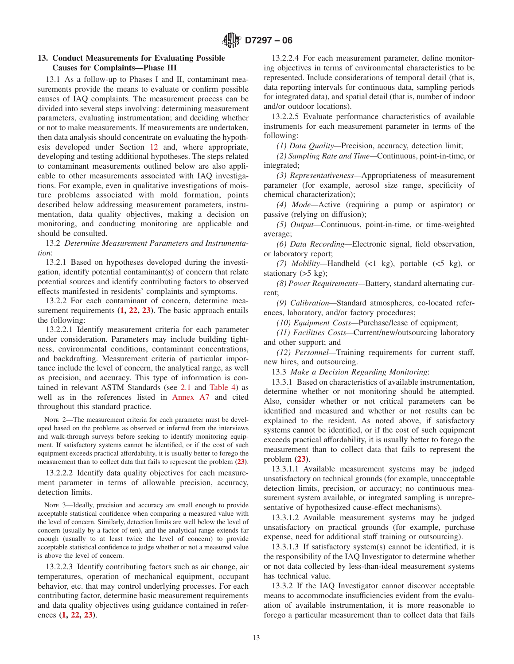### **13. Conduct Measurements for Evaluating Possible Causes for Complaints—Phase III**

13.1 As a follow-up to Phases I and II, contaminant measurements provide the means to evaluate or confirm possible causes of IAQ complaints. The measurement process can be divided into several steps involving: determining measurement parameters, evaluating instrumentation; and deciding whether or not to make measurements. If measurements are undertaken, then data analysis should concentrate on evaluating the hypothesis developed under Section [12](#page-11-3) and, where appropriate, developing and testing additional hypotheses. The steps related to contaminant measurements outlined below are also applicable to other measurements associated with IAQ investigations. For example, even in qualitative investigations of moisture problems associated with mold formation, points described below addressing measurement parameters, instrumentation, data quality objectives, making a decision on monitoring, and conducting monitoring are applicable and should be consulted.

13.2 *Determine Measurement Parameters and Instrumentation*:

13.2.1 Based on hypotheses developed during the investigation, identify potential contaminant(s) of concern that relate potential sources and identify contributing factors to observed effects manifested in residents' complaints and symptoms.

13.2.2 For each contaminant of concern, determine measurement requirements **[\(1,](#page-12-1) [22,](#page-12-1) [23\)](#page-12-2)**. The basic approach entails the following:

13.2.2.1 Identify measurement criteria for each parameter under consideration. Parameters may include building tightness, environmental conditions, contaminant concentrations, and backdrafting. Measurement criteria of particular importance include the level of concern, the analytical range, as well as precision, and accuracy. This type of information is contained in relevant ASTM Standards (see [2.1](#page-0-5) and [Table 4\)](#page-10-8) as well as in the references listed in [Annex A7](#page-26-0) and cited throughout this standard practice.

NOTE 2—The measurement criteria for each parameter must be developed based on the problems as observed or inferred from the interviews and walk-through surveys before seeking to identify monitoring equipment. If satisfactory systems cannot be identified, or if the cost of such equipment exceeds practical affordability, it is usually better to forego the measurement than to collect data that fails to represent the problem **[\(23\)](#page-12-1)**.

13.2.2.2 Identify data quality objectives for each measurement parameter in terms of allowable precision, accuracy, detection limits.

NOTE 3—Ideally, precision and accuracy are small enough to provide acceptable statistical confidence when comparing a measured value with the level of concern. Similarly, detection limits are well below the level of concern (usually by a factor of ten), and the analytical range extends far enough (usually to at least twice the level of concern) to provide acceptable statistical confidence to judge whether or not a measured value is above the level of concern.

13.2.2.3 Identify contributing factors such as air change, air temperatures, operation of mechanical equipment, occupant behavior, etc. that may control underlying processes. For each contributing factor, determine basic measurement requirements and data quality objectives using guidance contained in references **[\(1,](#page-13-4) [22,](#page-13-4) [23\)](#page-12-3)**.

13.2.2.4 For each measurement parameter, define monitoring objectives in terms of environmental characteristics to be represented. Include considerations of temporal detail (that is, data reporting intervals for continuous data, sampling periods for integrated data), and spatial detail (that is, number of indoor and/or outdoor locations).

13.2.2.5 Evaluate performance characteristics of available instruments for each measurement parameter in terms of the following:

*(1) Data Quality—*Precision, accuracy, detection limit;

*(2) Sampling Rate and Time—*Continuous, point-in-time, or integrated;

*(3) Representativeness—*Appropriateness of measurement parameter (for example, aerosol size range, specificity of chemical characterization);

*(4) Mode—*Active (requiring a pump or aspirator) or passive (relying on diffusion);

*(5) Output—*Continuous, point-in-time, or time-weighted average;

*(6) Data Recording—*Electronic signal, field observation, or laboratory report;

*(7) Mobility—*Handheld (<1 kg), portable (<5 kg), or stationary  $(5 \text{ kg})$ ;

*(8) Power Requirements—*Battery, standard alternating current;

*(9) Calibration—*Standard atmospheres, co-located references, laboratory, and/or factory procedures;

<span id="page-12-0"></span>*(10) Equipment Costs—*Purchase/lease of equipment;

*(11) Facilities Costs—*Current/new/outsourcing laboratory and other support; and

*(12) Personnel—*Training requirements for current staff, new hires, and outsourcing.

13.3 *Make a Decision Regarding Monitoring*:

13.3.1 Based on characteristics of available instrumentation, determine whether or not monitoring should be attempted. Also, consider whether or not critical parameters can be identified and measured and whether or not results can be explained to the resident. As noted above, if satisfactory systems cannot be identified, or if the cost of such equipment exceeds practical affordability, it is usually better to forego the measurement than to collect data that fails to represent the problem **[\(23\)](#page-13-4)**.

<span id="page-12-3"></span><span id="page-12-2"></span>13.3.1.1 Available measurement systems may be judged unsatisfactory on technical grounds (for example, unacceptable detection limits, precision, or accuracy; no continuous measurement system available, or integrated sampling is unrepresentative of hypothesized cause-effect mechanisms).

13.3.1.2 Available measurement systems may be judged unsatisfactory on practical grounds (for example, purchase expense, need for additional staff training or outsourcing).

13.3.1.3 If satisfactory system(s) cannot be identified, it is the responsibility of the IAQ Investigator to determine whether or not data collected by less-than-ideal measurement systems has technical value.

<span id="page-12-1"></span>13.3.2 If the IAQ Investigator cannot discover acceptable means to accommodate insufficiencies evident from the evaluation of available instrumentation, it is more reasonable to forego a particular measurement than to collect data that fails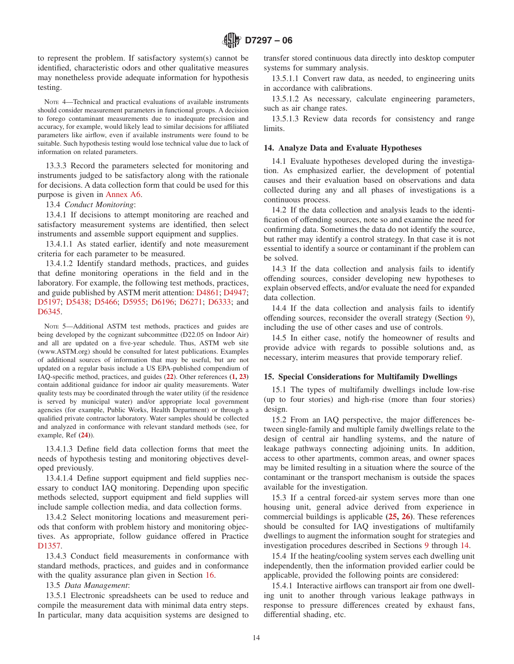to represent the problem. If satisfactory system(s) cannot be identified, characteristic odors and other qualitative measures may nonetheless provide adequate information for hypothesis testing.

NOTE 4—Technical and practical evaluations of available instruments should consider measurement parameters in functional groups. A decision to forego contaminant measurements due to inadequate precision and accuracy, for example, would likely lead to similar decisions for affiliated parameters like airflow, even if available instruments were found to be suitable. Such hypothesis testing would lose technical value due to lack of information on related parameters.

13.3.3 Record the parameters selected for monitoring and instruments judged to be satisfactory along with the rationale for decisions. A data collection form that could be used for this purpose is given in [Annex A6.](#page-25-0)

13.4 *Conduct Monitoring*:

13.4.1 If decisions to attempt monitoring are reached and satisfactory measurement systems are identified, then select instruments and assemble support equipment and supplies.

13.4.1.1 As stated earlier, identify and note measurement criteria for each parameter to be measured.

13.4.1.2 Identify standard methods, practices, and guides that define monitoring operations in the field and in the laboratory. For example, the following test methods, practices, and guide published by ASTM merit attention: [D4861;](#page-0-6) [D4947;](#page-0-7) [D5197;](#page-0-8) [D5438;](#page-0-9) [D5466;](#page-0-10) [D5955;](#page-0-11) [D6196;](#page-0-12) [D6271;](#page-0-13) [D6333;](#page-0-14) and D<sub>6</sub>345.

NOTE 5—Additional ASTM test methods, practices and guides are being developed by the cognizant subcommittee (D22.05 on Indoor Air) and all are updated on a five-year schedule. Thus, ASTM web site (www.ASTM.org) should be consulted for latest publications. Examples of additional sources of information that may be useful, but are not updated on a regular basis include a US EPA-published compendium of IAQ-specific method, practices, and guides (**[22](#page-27-5)**). Other references **[\(1,](#page-26-13) [23\)](#page-27-6)** contain additional guidance for indoor air quality measurements. Water quality tests may be coordinated through the water utility (if the residence is served by municipal water) and/or appropriate local government agencies (for example, Public Works, Health Department) or through a qualified private contractor laboratory. Water samples should be collected and analyzed in conformance with relevant standard methods (see, for example, Ref **[\(24\)](#page-27-7)**).

13.4.1.3 Define field data collection forms that meet the needs of hypothesis testing and monitoring objectives developed previously.

13.4.1.4 Define support equipment and field supplies necessary to conduct IAQ monitoring. Depending upon specific methods selected, support equipment and field supplies will include sample collection media, and data collection forms.

13.4.2 Select monitoring locations and measurement periods that conform with problem history and monitoring objectives. As appropriate, follow guidance offered in Practice D<sub>1357</sub>.

13.4.3 Conduct field measurements in conformance with standard methods, practices, and guides and in conformance with the quality assurance plan given in Section [16.](#page-14-2)

13.5 *Data Management*:

13.5.1 Electronic spreadsheets can be used to reduce and compile the measurement data with minimal data entry steps. In particular, many data acquisition systems are designed to transfer stored continuous data directly into desktop computer systems for summary analysis.

13.5.1.1 Convert raw data, as needed, to engineering units in accordance with calibrations.

13.5.1.2 As necessary, calculate engineering parameters, such as air change rates.

<span id="page-13-5"></span>13.5.1.3 Review data records for consistency and range limits.

#### **14. Analyze Data and Evaluate Hypotheses**

14.1 Evaluate hypotheses developed during the investigation. As emphasized earlier, the development of potential causes and their evaluation based on observations and data collected during any and all phases of investigations is a continuous process.

14.2 If the data collection and analysis leads to the identification of offending sources, note so and examine the need for confirming data. Sometimes the data do not identify the source, but rather may identify a control strategy. In that case it is not essential to identify a source or contaminant if the problem can be solved.

<span id="page-13-1"></span>14.3 If the data collection and analysis fails to identify offending sources, consider developing new hypotheses to explain observed effects, and/or evaluate the need for expanded data collection.

<span id="page-13-3"></span><span id="page-13-2"></span>14.4 If the data collection and analysis fails to identify offending sources, reconsider the overall strategy (Section [9\)](#page-4-4), including the use of other cases and use of controls.

14.5 In either case, notify the homeowner of results and provide advice with regards to possible solutions and, as necessary, interim measures that provide temporary relief.

#### <span id="page-13-4"></span>**15. Special Considerations for Multifamily Dwellings**

15.1 The types of multifamily dwellings include low-rise (up to four stories) and high-rise (more than four stories) design.

<span id="page-13-6"></span>15.2 From an IAQ perspective, the major differences between single-family and multiple family dwellings relate to the design of central air handling systems, and the nature of leakage pathways connecting adjoining units. In addition, access to other apartments, common areas, and owner spaces may be limited resulting in a situation where the source of the contaminant or the transport mechanism is outside the spaces available for the investigation.

<span id="page-13-7"></span>15.3 If a central forced-air system serves more than one housing unit, general advice derived from experience in commercial buildings is applicable **[\(25,](#page-27-8) [26\)](#page-27-9)**. These references should be consulted for IAQ investigations of multifamily dwellings to augment the information sought for strategies and investigation procedures described in Sections [9](#page-4-4) through [14.](#page-13-5)

<span id="page-13-0"></span>15.4 If the heating/cooling system serves each dwelling unit independently, then the information provided earlier could be applicable, provided the following points are considered:

15.4.1 Interactive airflows can transport air from one dwelling unit to another through various leakage pathways in response to pressure differences created by exhaust fans, differential shading, etc.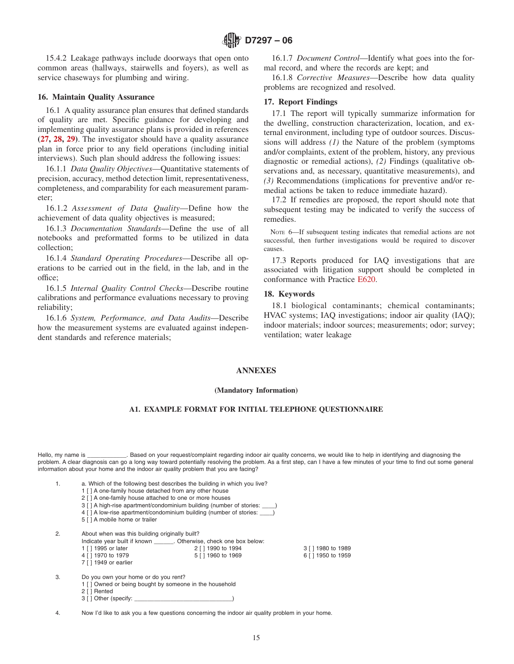15.4.2 Leakage pathways include doorways that open onto common areas (hallways, stairwells and foyers), as well as service chaseways for plumbing and wiring.

#### **16. Maintain Quality Assurance**

16.1 A quality assurance plan ensures that defined standards of quality are met. Specific guidance for developing and implementing quality assurance plans is provided in references **[\(27,](#page-27-10) [28,](#page-27-11) [29\)](#page-27-12)**. The investigator should have a quality assurance plan in force prior to any field operations (including initial interviews). Such plan should address the following issues:

16.1.1 *Data Quality Objectives*—Quantitative statements of precision, accuracy, method detection limit, representativeness, completeness, and comparability for each measurement parameter;

16.1.2 *Assessment of Data Quality*—Define how the achievement of data quality objectives is measured;

16.1.3 *Documentation Standards*—Define the use of all notebooks and preformatted forms to be utilized in data collection;

16.1.4 *Standard Operating Procedures*—Describe all operations to be carried out in the field, in the lab, and in the office;

16.1.5 *Internal Quality Control Checks*—Describe routine calibrations and performance evaluations necessary to proving reliability;

16.1.6 *System, Performance, and Data Audits*—Describe how the measurement systems are evaluated against independent standards and reference materials;

16.1.7 *Document Control*—Identify what goes into the formal record, and where the records are kept; and

16.1.8 *Corrective Measures*—Describe how data quality problems are recognized and resolved.

#### <span id="page-14-3"></span><span id="page-14-2"></span>**17. Report Findings**

17.1 The report will typically summarize information for the dwelling, construction characterization, location, and external environment, including type of outdoor sources. Discussions will address *(1)* the Nature of the problem (symptoms and/or complaints, extent of the problem, history, any previous diagnostic or remedial actions), *(2)* Findings (qualitative observations and, as necessary, quantitative measurements), and *(3)* Recommendations (implications for preventive and/or remedial actions be taken to reduce immediate hazard).

17.2 If remedies are proposed, the report should note that subsequent testing may be indicated to verify the success of remedies.

NOTE 6—If subsequent testing indicates that remedial actions are not successful, then further investigations would be required to discover causes.

17.3 Reports produced for IAQ investigations that are associated with litigation support should be completed in conformance with Practice [E620.](#page-1-10)

### <span id="page-14-0"></span>**18. Keywords**

<span id="page-14-1"></span>18.1 biological contaminants; chemical contaminants; HVAC systems; IAQ investigations; indoor air quality (IAQ); indoor materials; indoor sources; measurements; odor; survey; ventilation; water leakage

### **ANNEXES**

#### **(Mandatory Information)**

## **A1. EXAMPLE FORMAT FOR INITIAL TELEPHONE QUESTIONNAIRE**

Hello, my name is \_\_\_\_\_\_\_\_\_\_\_\_. Based on your request/complaint regarding indoor air quality concerns, we would like to help in identifying and diagnosing the problem. A clear diagnosis can go a long way toward potentially resolving the problem. As a first step, can I have a few minutes of your time to find out some general information about your home and the indoor air quality problem that you are facing?

|  |  |  | a. Which of the following best describes the building in which you live? |  |  |  |
|--|--|--|--------------------------------------------------------------------------|--|--|--|
|  |  |  |                                                                          |  |  |  |

- 1 [ ] A one-family house detached from any other house
- 2 [ ] A one-family house attached to one or more houses
- 3 [ ] A high-rise apartment/condominium building (number of stories:
- 4 [ ] A low-rise apartment/condominium building (number of stories:
- 5 [ ] A mobile home or trailer

| About when was this building originally built? | 2. |  |  |  |
|------------------------------------------------|----|--|--|--|
|------------------------------------------------|----|--|--|--|

| Indicate year built if known | Otherwise, check one box below: |                    |
|------------------------------|---------------------------------|--------------------|
| 1 [ ] 1995 or later          | 2 [ ] 1990 to 1994              | 3 [ ] 1980 to 1989 |
| 4 [ ] 1970 to 1979           | 5 [ ] 1960 to 1969              | 6 [ ] 1950 to 1959 |
| 7 [ ] 1949 or earlier        |                                 |                    |

| 3. | Do you own your home or do you rent? |  |  |
|----|--------------------------------------|--|--|
|    |                                      |  |  |

- 1 [ ] Owned or being bought by someone in the household
- 2 [ ] Rented 3 [ ] Other (specify: \_

4. Now I'd like to ask you a few questions concerning the indoor air quality problem in your home.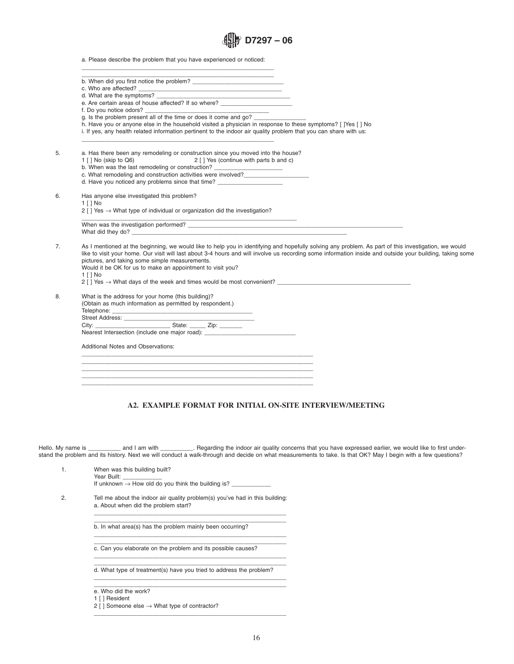|  | $\lim_{x\to 0}$ D7297 – 06 |  |  |
|--|----------------------------|--|--|
|--|----------------------------|--|--|

a. Please describe the problem that you have experienced or noticed:

| e. Are certain areas of house affected? If so where?                                                                                                                                                                                                                                                                                                                |
|---------------------------------------------------------------------------------------------------------------------------------------------------------------------------------------------------------------------------------------------------------------------------------------------------------------------------------------------------------------------|
| f. Do you notice odors?                                                                                                                                                                                                                                                                                                                                             |
|                                                                                                                                                                                                                                                                                                                                                                     |
| h. Have you or anyone else in the household visited a physician in response to these symptoms? [ ]Yes [ ] No<br>i. If yes, any health related information pertinent to the indoor air quality problem that you can share with us:                                                                                                                                   |
| a. Has there been any remodeling or construction since you moved into the house?<br>1 [ ] No (skip to Q6) 2 [ ] Yes (continue with parts b and c)<br>b. When was the last remodeling or construction? _______________________________                                                                                                                               |
| c. What remodeling and construction activities were involved?                                                                                                                                                                                                                                                                                                       |
| d. Have you noticed any problems since that time?                                                                                                                                                                                                                                                                                                                   |
| Has anyone else investigated this problem?                                                                                                                                                                                                                                                                                                                          |
| 1 [ ] No<br>2 [ ] Yes $\rightarrow$ What type of individual or organization did the investigation?                                                                                                                                                                                                                                                                  |
| the control of the control of the control of the control of the control of                                                                                                                                                                                                                                                                                          |
| What did they do?                                                                                                                                                                                                                                                                                                                                                   |
| As I mentioned at the beginning, we would like to help you in identifying and hopefully solving any problem. As part of this investigation, we would<br>like to visit your home. Our visit will last about 3-4 hours and will involve us recording some information inside and outside your building, taking some<br>pictures, and taking some simple measurements. |
| Would it be OK for us to make an appointment to visit you?                                                                                                                                                                                                                                                                                                          |
| $1$ [ ] No                                                                                                                                                                                                                                                                                                                                                          |
| $2$ [ ] Yes $\rightarrow$ What days of the week and times would be most convenient?                                                                                                                                                                                                                                                                                 |
| What is the address for your home (this building)?                                                                                                                                                                                                                                                                                                                  |
| (Obtain as much information as permitted by respondent.)                                                                                                                                                                                                                                                                                                            |
|                                                                                                                                                                                                                                                                                                                                                                     |
|                                                                                                                                                                                                                                                                                                                                                                     |
| Nearest Intersection (include one major road): _________________________________                                                                                                                                                                                                                                                                                    |
| <b>Additional Notes and Observations:</b>                                                                                                                                                                                                                                                                                                                           |
|                                                                                                                                                                                                                                                                                                                                                                     |
|                                                                                                                                                                                                                                                                                                                                                                     |
|                                                                                                                                                                                                                                                                                                                                                                     |
|                                                                                                                                                                                                                                                                                                                                                                     |

## <span id="page-15-0"></span>**A2. EXAMPLE FORMAT FOR INITIAL ON-SITE INTERVIEW/MEETING**

Hello. My name is \_\_\_\_\_\_\_\_\_\_\_ and I am with \_\_\_\_\_\_\_\_\_\_. Regarding the indoor air quality concerns that you have expressed earlier, we would like to first understand the problem and its history. Next we will conduct a walk-through and decide on what measurements to take. Is that OK? May I begin with a few questions?

1. When was this building built? Year Built:

If unknown  $\rightarrow$  How old do you think the building is?  $\_$ 

2. Tell me about the indoor air quality problem(s) you've had in this building: a. About when did the problem start?

b. In what area(s) has the problem mainly been occurring?

c. Can you elaborate on the problem and its possible causes?

\_\_\_\_\_\_\_\_\_\_\_\_\_\_\_\_\_\_\_\_\_\_\_\_\_\_\_\_\_\_\_\_\_\_\_\_\_\_\_\_\_\_\_\_\_\_\_\_\_\_\_\_\_\_\_\_\_\_\_ d. What type of treatment(s) have you tried to address the problem? \_\_\_\_\_\_\_\_\_\_\_\_\_\_\_\_\_\_\_\_\_\_\_\_\_\_\_\_\_\_\_\_\_\_\_\_\_\_\_\_\_\_\_\_\_\_\_\_\_\_\_\_\_\_\_\_\_\_\_

 $\overline{\phantom{a}}$  , and the contract of the contract of the contract of the contract of the contract of the contract of the contract of the contract of the contract of the contract of the contract of the contract of the contrac \_\_\_\_\_\_\_\_\_\_\_\_\_\_\_\_\_\_\_\_\_\_\_\_\_\_\_\_\_\_\_\_\_\_\_\_\_\_\_\_\_\_\_\_\_\_\_\_\_\_\_\_\_\_\_\_\_\_\_

\_\_\_\_\_\_\_\_\_\_\_\_\_\_\_\_\_\_\_\_\_\_\_\_\_\_\_\_\_\_\_\_\_\_\_\_\_\_\_\_\_\_\_\_\_\_\_\_\_\_\_\_\_\_\_\_\_\_\_ \_\_\_\_\_\_\_\_\_\_\_\_\_\_\_\_\_\_\_\_\_\_\_\_\_\_\_\_\_\_\_\_\_\_\_\_\_\_\_\_\_\_\_\_\_\_\_\_\_\_\_\_\_\_\_\_\_\_\_

\_\_\_\_\_\_\_\_\_\_\_\_\_\_\_\_\_\_\_\_\_\_\_\_\_\_\_\_\_\_\_\_\_\_\_\_\_\_\_\_\_\_\_\_\_\_\_\_\_\_\_\_\_\_\_\_\_\_\_

\_\_\_\_\_\_\_\_\_\_\_\_\_\_\_\_\_\_\_\_\_\_\_\_\_\_\_\_\_\_\_\_\_\_\_\_\_\_\_\_\_\_\_\_\_\_\_\_\_\_\_\_\_\_\_\_\_\_\_

\_\_\_\_\_\_\_\_\_\_\_\_\_\_\_\_\_\_\_\_\_\_\_\_\_\_\_\_\_\_\_\_\_\_\_\_\_\_\_\_\_\_\_\_\_\_\_\_\_\_\_\_\_\_\_\_\_\_\_

- e. Who did the work?
- 1 [ ] Resident
- 2 [ ] Someone else  $\rightarrow$  What type of contractor?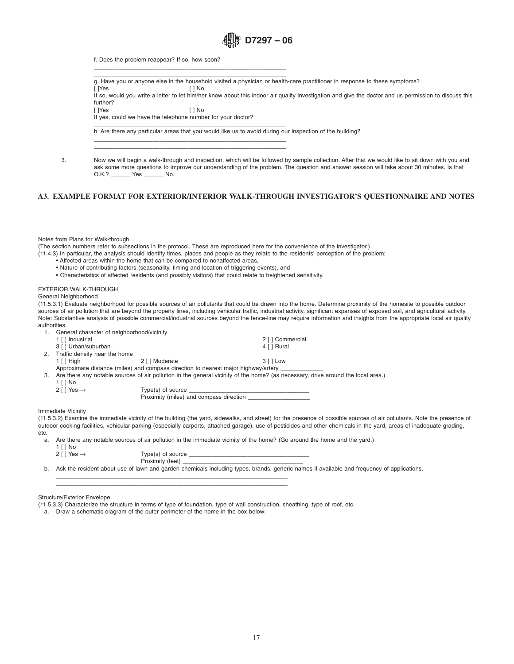<span id="page-16-0"></span>

f. Does the problem reappear? If so, how soon?

 $\overline{\phantom{a}}$  , and the contract of the contract of the contract of the contract of the contract of the contract of the contract of the contract of the contract of the contract of the contract of the contract of the contrac g. Have you or anyone else in the household visited a physician or health-care practitioner in response to these symptoms?

[ ]Yes [ ] No If so, would you write a letter to let him/her know about this indoor air quality investigation and give the doctor and us permission to discuss this further?<br>[ ]Yes

[ ]Yes [ ] No

If yes, could we have the telephone number for your doctor?

 $\_$  , and the set of the set of the set of the set of the set of the set of the set of the set of the set of the set of the set of the set of the set of the set of the set of the set of the set of the set of the set of th

 $\overline{\phantom{a}}$  , and the contract of the contract of the contract of the contract of the contract of the contract of the contract of the contract of the contract of the contract of the contract of the contract of the contrac  $\overline{\phantom{a}}$  , and the contract of the contract of the contract of the contract of the contract of the contract of the contract of the contract of the contract of the contract of the contract of the contract of the contrac

 $\overline{\phantom{a}}$  , and the contract of the contract of the contract of the contract of the contract of the contract of the contract of the contract of the contract of the contract of the contract of the contract of the contrac h. Are there any particular areas that you would like us to avoid during our inspection of the building?

3. Now we will begin a walk-through and inspection, which will be followed by sample collection. After that we would like to sit down with you and ask some more questions to improve our understanding of the problem. The question and answer session will take about 30 minutes. Is that O.K.? Yes No.

## **A3. EXAMPLE FORMAT FOR EXTERIOR/INTERIOR WALK-THROUGH INVESTIGATOR'S QUESTIONNAIRE AND NOTES**

Notes from Plans for Walk-through

(The section numbers refer to subsections in the protocol. These are reproduced here for the convenience of the investigator.)

(11.4.3) In particular, the analysis should identify times, places and people as they relate to the residents' perception of the problem:

- Affected areas within the home that can be compared to nonaffected areas,
- Nature of contributing factors (seasonality, timing and location of triggering events), and
- Characteristics of affected residents (and possibly visitors) that could relate to heightened sensitivity.

#### EXTERIOR WALK-THROUGH

General Neighborhood

(11.5.3.1) Evaluate neighborhood for possible sources of air pollutants that could be drawn into the home. Determine proximity of the homesite to possible outdoor sources of air pollution that are beyond the property lines, including vehicular traffic, industrial activity, significant expanses of exposed soil, and agricultural activity. Note: Substantive analysis of possible commercial/industrial sources beyond the fence-line may require information and insights from the appropriate local air quality authorities.

|    | General character of neighborhood/vicinity |                                                                                    |                                                                                                                                  |  |
|----|--------------------------------------------|------------------------------------------------------------------------------------|----------------------------------------------------------------------------------------------------------------------------------|--|
|    | 1 [ ] Industrial                           |                                                                                    | 2 [ ] Commercial                                                                                                                 |  |
|    | 3 [ ] Urban/suburban                       |                                                                                    | 4 [ ] Rural                                                                                                                      |  |
|    | 2. Traffic density near the home           |                                                                                    |                                                                                                                                  |  |
|    | 1 [ ] High                                 | 2 [ ] Moderate                                                                     | 3 [ ] Low                                                                                                                        |  |
|    |                                            | Approximate distance (miles) and compass direction to nearest major highway/artery |                                                                                                                                  |  |
| 3. |                                            |                                                                                    | Are there any notable sources of air pollution in the general vicinity of the home? (as necessary, drive around the local area.) |  |
|    | 1 [ ] No                                   |                                                                                    |                                                                                                                                  |  |
|    | 2 [ ] Yes $\rightarrow$                    | Type(s) of source Type Type Section 1                                              |                                                                                                                                  |  |
|    |                                            | Proximity (miles) and compass direction                                            |                                                                                                                                  |  |

Immediate Vicinity

(11.5.3.2) Examine the immediate vicinity of the building (the yard, sidewalks, and street) for the presence of possible sources of air pollutants. Note the presence of outdoor cooking facilities, vehicular parking (especially carports, attached garage), use of pesticides and other chemicals in the yard, areas of inadequate grading, etc.

a. Are there any notable sources of air pollution in the immediate vicinity of the home? (Go around the home and the yard.)

1 [ ] No

2 [ ] Yes  $\rightarrow$ 

| Type(s) of source |  |  |
|-------------------|--|--|
| Proximity (feet)  |  |  |
|                   |  |  |

b. Ask the resident about use of lawn and garden chemicals including types, brands, generic names if available and frequency of applications.

a. Draw a schematic diagram of the outer perimeter of the home in the box below:

\_\_\_\_\_\_\_\_\_\_\_\_\_\_\_\_\_\_\_\_\_\_\_\_\_\_\_\_\_\_\_\_\_\_\_\_\_\_\_\_\_\_\_\_\_\_\_\_\_\_\_\_\_\_\_\_\_\_\_\_\_\_\_\_\_\_\_\_\_\_\_ \_\_\_\_\_\_\_\_\_\_\_\_\_\_\_\_\_\_\_\_\_\_\_\_\_\_\_\_\_\_\_\_\_\_\_\_\_\_\_\_\_\_\_\_\_\_\_\_\_\_\_\_\_\_\_\_\_\_\_\_\_\_\_\_\_\_\_\_\_\_\_

Structure/Exterior Envelope

<sup>(11.5.3.3)</sup> Characterize the structure in terms of type of foundation, type of wall construction, sheathing, type of roof, etc.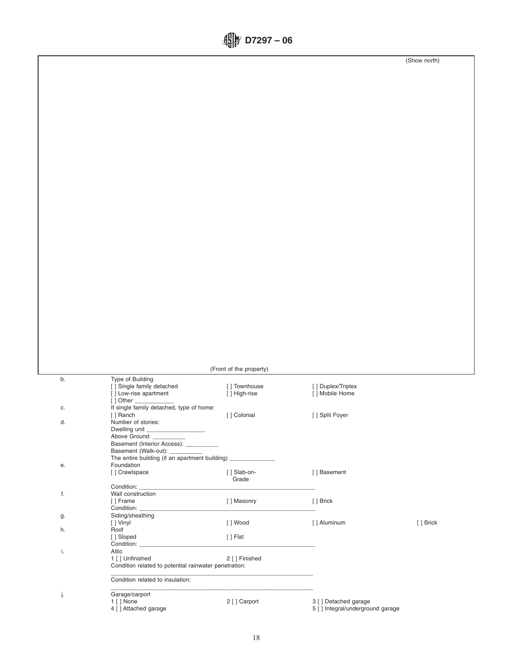|  | $\lim_{x\to 0}$ D7297 – 06 |  |  |
|--|----------------------------|--|--|
|--|----------------------------|--|--|

(Show north)

|    |                                                                          | (Front of the property)       |                                       |           |
|----|--------------------------------------------------------------------------|-------------------------------|---------------------------------------|-----------|
| b. | Type of Building                                                         |                               |                                       |           |
|    | [ ] Single family detached<br>[] Low-rise apartment                      | [] Townhouse<br>[ ] High-rise | [ ] Duplex/Triplex<br>[ ] Mobile Home |           |
| с. | [ ] Other _<br>If single family detached, type of home:                  |                               |                                       |           |
| d. | [ ] Ranch<br>Number of stories:<br>Dwelling unit                         | [] Colonial                   | [ ] Split Foyer                       |           |
|    | Above Ground: _<br>Basement (Interior Access): _                         |                               |                                       |           |
|    | Basement (Walk-out): _<br>The entire building (if an apartment building) |                               |                                       |           |
| е. | Foundation<br>[ ] Crawlspace                                             | [ ] Slab-on-                  | [] Basement                           |           |
| f. | Condition:<br>Wall construction                                          | Grade                         |                                       |           |
|    | [] Frame<br>Condition:                                                   | [] Masonry                    | [ ] Brick                             |           |
| g. | Siding/sheathing<br>[ ] Vinyl                                            | [ ] Wood                      | [ ] Aluminum                          | [ ] Brick |
| h. | Roof<br>[] Sloped                                                        | $[ ]$ Flat                    |                                       |           |
| i. | Condition:<br>Attic<br>1 [ ] Unfinished                                  | 2 [ ] Finished                |                                       |           |
|    | Condition related to potential rainwater penetration:                    |                               |                                       |           |
|    | Condition related to insulation:                                         |                               |                                       |           |
| j. | Garage/carport<br>1 [ ] None                                             | 2 [ ] Carport                 | 3 [ ] Detached garage                 |           |
|    | 4 [ ] Attached garage                                                    |                               | 5 [ ] Integral/underground garage     |           |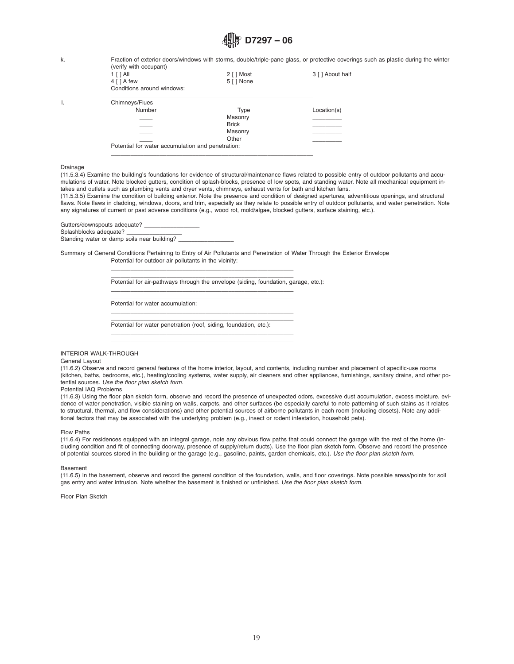k. Fraction of exterior doors/windows with storms, double/triple-pane glass, or protective coverings such as plastic during the winter (verify with occupant)

| <i>(VGIII) WILLI UUUQUULI</i><br>1 [ ] All<br>$4 \mid A$ few<br>Conditions around windows: | $2 \lceil \cdot \rceil$ Most<br>5 [ ] None | 3 [ ] About half                                                                      |
|--------------------------------------------------------------------------------------------|--------------------------------------------|---------------------------------------------------------------------------------------|
| Chimneys/Flues                                                                             |                                            |                                                                                       |
| Number                                                                                     | Type                                       | Location(s)                                                                           |
|                                                                                            | Masonry                                    |                                                                                       |
|                                                                                            |                                            |                                                                                       |
|                                                                                            |                                            |                                                                                       |
|                                                                                            |                                            |                                                                                       |
|                                                                                            |                                            | <b>Brick</b><br>Masonry<br>Other<br>Potential for water accumulation and penetration: |

\_\_\_\_\_\_\_\_\_\_\_\_\_\_\_\_\_\_\_\_\_\_\_\_\_\_\_\_\_\_\_\_\_\_\_\_\_\_\_\_\_\_\_\_\_\_\_\_\_\_\_\_\_\_\_\_\_\_\_\_\_\_

#### Drainage

(11.5.3.4) Examine the building's foundations for evidence of structural/maintenance flaws related to possible entry of outdoor pollutants and accumulations of water. Note blocked gutters, condition of splash-blocks, presence of low spots, and standing water. Note all mechanical equipment intakes and outlets such as plumbing vents and dryer vents, chimneys, exhaust vents for bath and kitchen fans.

(11.5.3.5) Examine the condition of building exterior. Note the presence and condition of designed apertures, adventitious openings, and structural flaws. Note flaws in cladding, windows, doors, and trim, especially as they relate to possible entry of outdoor pollutants, and water penetration. Note any signatures of current or past adverse conditions (e.g., wood rot, mold/algae, blocked gutters, surface staining, etc.).

Gutters/downspouts adequate? Splashblocks adequate? Standing water or damp soils near building?

Summary of General Conditions Pertaining to Entry of Air Pollutants and Penetration of Water Through the Exterior Envelope Potential for outdoor air pollutants in the vicinity:

> $\overline{\phantom{a}}$  , and the contract of the contract of the contract of the contract of the contract of the contract of the contract of the contract of the contract of the contract of the contract of the contract of the contrac Potential for air-pathways through the envelope (siding, foundation, garage, etc.):

 $\overline{\phantom{a}}$  , and the contract of the contract of the contract of the contract of the contract of the contract of the contract of the contract of the contract of the contract of the contract of the contract of the contrac

 $\overline{\phantom{a}}$  , and the contract of the contract of the contract of the contract of the contract of the contract of the contract of the contract of the contract of the contract of the contract of the contract of the contrac

 $\overline{\phantom{a}}$  , and the contract of the contract of the contract of the contract of the contract of the contract of the contract of the contract of the contract of the contract of the contract of the contract of the contrac

 $\overline{\phantom{a}}$  , and the contract of the contract of the contract of the contract of the contract of the contract of the contract of the contract of the contract of the contract of the contract of the contract of the contrac \_\_\_\_\_\_\_\_\_\_\_\_\_\_\_\_\_\_\_\_\_\_\_\_\_\_\_\_\_\_\_\_\_\_\_\_\_\_\_\_\_\_\_\_\_\_\_\_\_\_\_\_\_\_\_\_

 $\overline{\phantom{a}}$  , and the contract of the contract of the contract of the contract of the contract of the contract of the contract of the contract of the contract of the contract of the contract of the contract of the contrac Potential for water accumulation:

 $\overline{\phantom{a}}$  , and the contract of the contract of the contract of the contract of the contract of the contract of the contract of the contract of the contract of the contract of the contract of the contract of the contrac Potential for water penetration (roof, siding, foundation, etc.):

#### INTERIOR WALK-THROUGH

#### General Layout

(11.6.2) Observe and record general features of the home interior, layout, and contents, including number and placement of specific-use rooms (kitchen, baths, bedrooms, etc.), heating/cooling systems, water supply, air cleaners and other appliances, furnishings, sanitary drains, and other potential sources. *Use the floor plan sketch form.*

#### Potential IAQ Problems

(11.6.3) Using the floor plan sketch form, observe and record the presence of unexpected odors, excessive dust accumulation, excess moisture, evidence of water penetration, visible staining on walls, carpets, and other surfaces (be especially careful to note patterning of such stains as it relates to structural, thermal, and flow considerations) and other potential sources of airborne pollutants in each room (including closets). Note any additional factors that may be associated with the underlying problem (e.g., insect or rodent infestation, household pets).

#### Flow Paths

(11.6.4) For residences equipped with an integral garage, note any obvious flow paths that could connect the garage with the rest of the home (including condition and fit of connecting doorway, presence of supply/return ducts). Use the floor plan sketch form. Observe and record the presence of potential sources stored in the building or the garage (e.g., gasoline, paints, garden chemicals, etc.). *Use the floor plan sketch form.*

Basement

(11.6.5) In the basement, observe and record the general condition of the foundation, walls, and floor coverings. Note possible areas/points for soil gas entry and water intrusion. Note whether the basement is finished or unfinished. *Use the floor plan sketch form.*

Floor Plan Sketch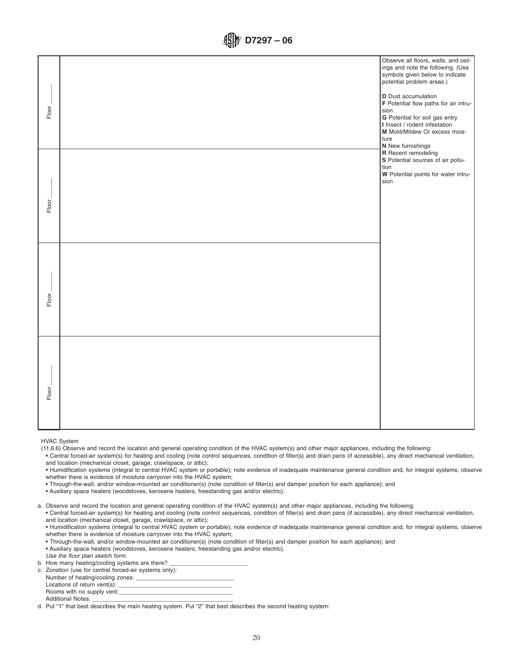| Floor | Observe all floors, walls, and ceil-<br>ings and note the following. (Use<br>symbols given below to indicate<br>potential problem areas.)<br><b>D</b> Dust accumulation<br>F Potential flow paths for air intru-<br>sion<br>G Potential for soil gas entry<br>I Insect / rodent infestation<br>M Mold/Mildew Or excess mois-<br>ture<br>N New furnishings |
|-------|-----------------------------------------------------------------------------------------------------------------------------------------------------------------------------------------------------------------------------------------------------------------------------------------------------------------------------------------------------------|
| Floor | R Recent remodeling<br>S Potential sources of air pollu-<br>tion<br>W Potential points for water intru-<br>sion                                                                                                                                                                                                                                           |
| Floor |                                                                                                                                                                                                                                                                                                                                                           |
| Floor |                                                                                                                                                                                                                                                                                                                                                           |

HVAC System

(11.6.6) Observe and record the location and general operating condition of the HVAC system(s) and other major appliances, including the following:

• Central forced-air system(s) for heating and cooling (note control sequences, condition of filter(s) and drain pans (if accessible), any direct mechanical ventilation, and location (mechanical closet, garage, crawlspace, or attic);

• Humidification systems (integral to central HVAC system or portable); note evidence of inadequate maintenance general condition and, for integral systems, observe whether there is evidence of moisture carryover into the HVAC system;

• Through-the-wall, and/or window-mounted air conditioner(s) (note condition of filter(s) and damper position for each appliance); and

• Auxiliary space heaters (woodstoves, kerosene heaters, freestanding gas and/or electric).

a. Observe and record the location and general operating condition of the HVAC system(s) and other major appliances, including the following:

• Central forced-air system(s) for heating and cooling (note control sequences, condition of filter(s) and drain pans (if accessible), any direct mechanical ventilation, and location (mechanical closet, garage, crawlspace, or attic);

• Humidification systems (integral to central HVAC system or portable); note evidence of inadequate maintenance general condition and, for integral systems, observe whether there is evidence of moisture carryover into the HVAC system;

• Through-the-wall, and/or window-mounted air conditioner(s) (note condition of filter(s) and damper position for each appliance); and • Auxiliary space heaters (woodstoves, kerosene heaters, freestanding gas and/or electric).

*Use the floor plan sketch form.*

b. How many heating/cooling systems are there?

c. Zonation (use for central forced-air systems only):

Number of heating/cooling zones: Locations of return vent(s):

Rooms with no supply vent: Additional Notes:

d. Put "1" that best describes the main heating system. Put "2" that best describes the second heating system: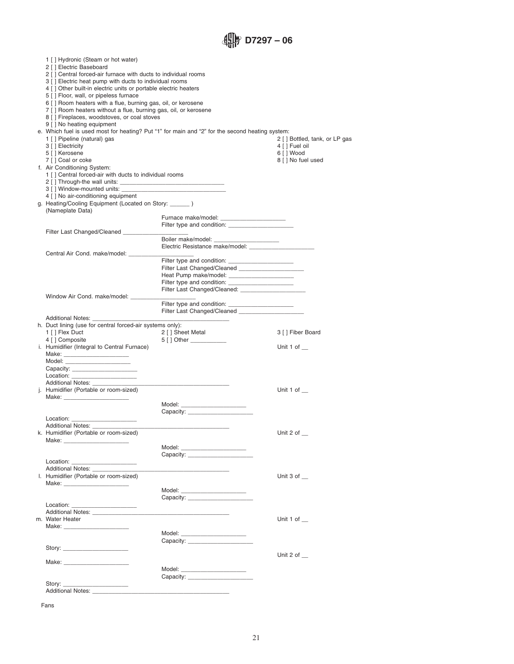*<u></u>* D7297 – 06

| 1 [] Hydronic (Steam or hot water)<br>2 [ ] Electric Baseboard<br>2 [ ] Central forced-air furnace with ducts to individual rooms<br>3 [ ] Electric heat pump with ducts to individual rooms<br>4 [ ] Other built-in electric units or portable electric heaters<br>5 [ ] Floor, wall, or pipeless furnace<br>6 [ ] Room heaters with a flue, burning gas, oil, or kerosene<br>7 [] Room heaters without a flue, burning gas, oil, or kerosene<br>8 [ ] Fireplaces, woodstoves, or coal stoves<br>9 [ ] No heating equipment<br>1 [ ] Pipeline (natural) gas<br>3 [ ] Electricity<br>5 [ ] Kerosene<br>7 [] Coal or coke<br>f. Air Conditioning System:<br>1 [ ] Central forced-air with ducts to individual rooms | e. Which fuel is used most for heating? Put "1" for main and "2" for the second heating system:                                                                                                                                | 2 [ ] Bottled, tank, or LP gas<br>4 [ ] Fuel oil<br>6 [ ] Wood<br>8 [ ] No fuel used |
|--------------------------------------------------------------------------------------------------------------------------------------------------------------------------------------------------------------------------------------------------------------------------------------------------------------------------------------------------------------------------------------------------------------------------------------------------------------------------------------------------------------------------------------------------------------------------------------------------------------------------------------------------------------------------------------------------------------------|--------------------------------------------------------------------------------------------------------------------------------------------------------------------------------------------------------------------------------|--------------------------------------------------------------------------------------|
| 4 [ ] No air-conditioning equipment                                                                                                                                                                                                                                                                                                                                                                                                                                                                                                                                                                                                                                                                                |                                                                                                                                                                                                                                |                                                                                      |
| g. Heating/Cooling Equipment (Located on Story: ______)<br>(Nameplate Data)                                                                                                                                                                                                                                                                                                                                                                                                                                                                                                                                                                                                                                        |                                                                                                                                                                                                                                |                                                                                      |
|                                                                                                                                                                                                                                                                                                                                                                                                                                                                                                                                                                                                                                                                                                                    | Furnace make/model: ______________________                                                                                                                                                                                     |                                                                                      |
|                                                                                                                                                                                                                                                                                                                                                                                                                                                                                                                                                                                                                                                                                                                    |                                                                                                                                                                                                                                |                                                                                      |
| Filter Last Changed/Cleaned _________                                                                                                                                                                                                                                                                                                                                                                                                                                                                                                                                                                                                                                                                              | Boiler make/model: _______________________                                                                                                                                                                                     |                                                                                      |
|                                                                                                                                                                                                                                                                                                                                                                                                                                                                                                                                                                                                                                                                                                                    | Electric Resistance make/model:                                                                                                                                                                                                |                                                                                      |
| Central Air Cond. make/model: _________                                                                                                                                                                                                                                                                                                                                                                                                                                                                                                                                                                                                                                                                            |                                                                                                                                                                                                                                |                                                                                      |
|                                                                                                                                                                                                                                                                                                                                                                                                                                                                                                                                                                                                                                                                                                                    |                                                                                                                                                                                                                                |                                                                                      |
|                                                                                                                                                                                                                                                                                                                                                                                                                                                                                                                                                                                                                                                                                                                    | Filter Last Changed/Cleaned ______________________                                                                                                                                                                             |                                                                                      |
|                                                                                                                                                                                                                                                                                                                                                                                                                                                                                                                                                                                                                                                                                                                    | Heat Pump make/model: _______________________                                                                                                                                                                                  |                                                                                      |
|                                                                                                                                                                                                                                                                                                                                                                                                                                                                                                                                                                                                                                                                                                                    |                                                                                                                                                                                                                                |                                                                                      |
| Window Air Cond. make/model: __________                                                                                                                                                                                                                                                                                                                                                                                                                                                                                                                                                                                                                                                                            |                                                                                                                                                                                                                                |                                                                                      |
|                                                                                                                                                                                                                                                                                                                                                                                                                                                                                                                                                                                                                                                                                                                    |                                                                                                                                                                                                                                |                                                                                      |
|                                                                                                                                                                                                                                                                                                                                                                                                                                                                                                                                                                                                                                                                                                                    | Filter Last Changed/Cleaned _______________________                                                                                                                                                                            |                                                                                      |
| Additional Notes: ________________                                                                                                                                                                                                                                                                                                                                                                                                                                                                                                                                                                                                                                                                                 | <b>Contract Contract Contract</b>                                                                                                                                                                                              |                                                                                      |
| h. Duct lining (use for central forced-air systems only):                                                                                                                                                                                                                                                                                                                                                                                                                                                                                                                                                                                                                                                          |                                                                                                                                                                                                                                |                                                                                      |
| 1 [ ] Flex Duct                                                                                                                                                                                                                                                                                                                                                                                                                                                                                                                                                                                                                                                                                                    | 2 [ ] Sheet Metal                                                                                                                                                                                                              | 3 [ ] Fiber Board                                                                    |
| 4 [ ] Composite                                                                                                                                                                                                                                                                                                                                                                                                                                                                                                                                                                                                                                                                                                    | 5 [ ] Other __________                                                                                                                                                                                                         |                                                                                      |
| i. Humidifier (Integral to Central Furnace)                                                                                                                                                                                                                                                                                                                                                                                                                                                                                                                                                                                                                                                                        |                                                                                                                                                                                                                                | Unit 1 of $\_\_$                                                                     |
| Model: _______________________                                                                                                                                                                                                                                                                                                                                                                                                                                                                                                                                                                                                                                                                                     |                                                                                                                                                                                                                                |                                                                                      |
| Capacity: _______________________                                                                                                                                                                                                                                                                                                                                                                                                                                                                                                                                                                                                                                                                                  |                                                                                                                                                                                                                                |                                                                                      |
| $\begin{picture}(20,10) \put(0,0){\vector(1,0){100}} \put(15,0){\vector(1,0){100}} \put(15,0){\vector(1,0){100}} \put(15,0){\vector(1,0){100}} \put(15,0){\vector(1,0){100}} \put(15,0){\vector(1,0){100}} \put(15,0){\vector(1,0){100}} \put(15,0){\vector(1,0){100}} \put(15,0){\vector(1,0){100}} \put(15,0){\vector(1,0){100}} \put(15,0){\vector(1,0){100}} \$                                                                                                                                                                                                                                                                                                                                                |                                                                                                                                                                                                                                |                                                                                      |
|                                                                                                                                                                                                                                                                                                                                                                                                                                                                                                                                                                                                                                                                                                                    |                                                                                                                                                                                                                                |                                                                                      |
| j. Humidifier (Portable or room-sized)                                                                                                                                                                                                                                                                                                                                                                                                                                                                                                                                                                                                                                                                             |                                                                                                                                                                                                                                | Unit 1 of                                                                            |
|                                                                                                                                                                                                                                                                                                                                                                                                                                                                                                                                                                                                                                                                                                                    |                                                                                                                                                                                                                                |                                                                                      |
|                                                                                                                                                                                                                                                                                                                                                                                                                                                                                                                                                                                                                                                                                                                    | Model: _______________________                                                                                                                                                                                                 |                                                                                      |
|                                                                                                                                                                                                                                                                                                                                                                                                                                                                                                                                                                                                                                                                                                                    |                                                                                                                                                                                                                                |                                                                                      |
| <b>Additional Notes:</b>                                                                                                                                                                                                                                                                                                                                                                                                                                                                                                                                                                                                                                                                                           |                                                                                                                                                                                                                                |                                                                                      |
| k. Humidifier (Portable or room-sized)                                                                                                                                                                                                                                                                                                                                                                                                                                                                                                                                                                                                                                                                             |                                                                                                                                                                                                                                | Unit 2 of $\_\$                                                                      |
| Make: The contract of the contract of the contract of the contract of the contract of the contract of the contract of the contract of the contract of the contract of the contract of the contract of the contract of the cont                                                                                                                                                                                                                                                                                                                                                                                                                                                                                     |                                                                                                                                                                                                                                |                                                                                      |
|                                                                                                                                                                                                                                                                                                                                                                                                                                                                                                                                                                                                                                                                                                                    | Model: _______________________                                                                                                                                                                                                 |                                                                                      |
|                                                                                                                                                                                                                                                                                                                                                                                                                                                                                                                                                                                                                                                                                                                    | Capacity: experience of the control of the control of the control of the control of the control of the control of the control of the control of the control of the control of the control of the control of the control of the |                                                                                      |
| Location: the contract of the contract of the contract of the contract of the contract of the contract of the contract of the contract of the contract of the contract of the contract of the contract of the contract of the<br><b>Additional Notes:</b>                                                                                                                                                                                                                                                                                                                                                                                                                                                          |                                                                                                                                                                                                                                |                                                                                      |
| I. Humidifier (Portable or room-sized)                                                                                                                                                                                                                                                                                                                                                                                                                                                                                                                                                                                                                                                                             |                                                                                                                                                                                                                                | Unit 3 of $\_\_$                                                                     |
|                                                                                                                                                                                                                                                                                                                                                                                                                                                                                                                                                                                                                                                                                                                    |                                                                                                                                                                                                                                |                                                                                      |
|                                                                                                                                                                                                                                                                                                                                                                                                                                                                                                                                                                                                                                                                                                                    | Model: _______________________                                                                                                                                                                                                 |                                                                                      |
|                                                                                                                                                                                                                                                                                                                                                                                                                                                                                                                                                                                                                                                                                                                    |                                                                                                                                                                                                                                |                                                                                      |
|                                                                                                                                                                                                                                                                                                                                                                                                                                                                                                                                                                                                                                                                                                                    |                                                                                                                                                                                                                                |                                                                                      |
| <b>Additional Notes:</b>                                                                                                                                                                                                                                                                                                                                                                                                                                                                                                                                                                                                                                                                                           | <u> 1989 - Johann Harry Harry Harry Harry Harry Harry Harry Harry Harry Harry Harry Harry Harry Harry Harry Harry</u>                                                                                                          |                                                                                      |
| m. Water Heater                                                                                                                                                                                                                                                                                                                                                                                                                                                                                                                                                                                                                                                                                                    |                                                                                                                                                                                                                                | Unit 1 of $\_\_$                                                                     |
|                                                                                                                                                                                                                                                                                                                                                                                                                                                                                                                                                                                                                                                                                                                    | Model: ________________________                                                                                                                                                                                                |                                                                                      |
|                                                                                                                                                                                                                                                                                                                                                                                                                                                                                                                                                                                                                                                                                                                    |                                                                                                                                                                                                                                |                                                                                      |
| Story: ________________________                                                                                                                                                                                                                                                                                                                                                                                                                                                                                                                                                                                                                                                                                    |                                                                                                                                                                                                                                |                                                                                      |
|                                                                                                                                                                                                                                                                                                                                                                                                                                                                                                                                                                                                                                                                                                                    |                                                                                                                                                                                                                                | Unit 2 of $\_\_$                                                                     |
| Make: ___________________________                                                                                                                                                                                                                                                                                                                                                                                                                                                                                                                                                                                                                                                                                  |                                                                                                                                                                                                                                |                                                                                      |
|                                                                                                                                                                                                                                                                                                                                                                                                                                                                                                                                                                                                                                                                                                                    |                                                                                                                                                                                                                                |                                                                                      |
|                                                                                                                                                                                                                                                                                                                                                                                                                                                                                                                                                                                                                                                                                                                    |                                                                                                                                                                                                                                |                                                                                      |
| Story: _________________________<br>Additional Notes: __________                                                                                                                                                                                                                                                                                                                                                                                                                                                                                                                                                                                                                                                   |                                                                                                                                                                                                                                |                                                                                      |
|                                                                                                                                                                                                                                                                                                                                                                                                                                                                                                                                                                                                                                                                                                                    |                                                                                                                                                                                                                                |                                                                                      |

Fans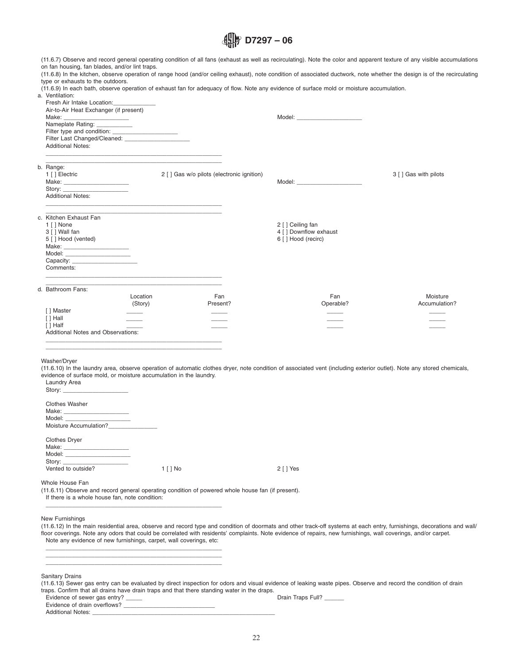(11.6.7) Observe and record general operating condition of all fans (exhaust as well as recirculating). Note the color and apparent texture of any visible accumulations on fan housing, fan blades, and/or lint traps.

(11.6.8) In the kitchen, observe operation of range hood (and/or ceiling exhaust), note condition of associated ductwork, note whether the design is of the recirculating type or exhausts to the outdoors.

(11.6.9) In each bath, observe operation of exhaust fan for adequacy of flow. Note any evidence of surface mold or moisture accumulation. a. Ventilation:

| Air-to-Air Heat Exchanger (if present)<br>Nameplate Rating: ____________<br><b>Additional Notes:</b>                                                                                                                                                                                      |                     | <u> 1989 - Johann John Stone, markin biskup yn y steatr y brening yn y brening yn y brening yn y brening y brenin</u> | Model: ________________________                                                                                                                                                                                                     |                           |
|-------------------------------------------------------------------------------------------------------------------------------------------------------------------------------------------------------------------------------------------------------------------------------------------|---------------------|-----------------------------------------------------------------------------------------------------------------------|-------------------------------------------------------------------------------------------------------------------------------------------------------------------------------------------------------------------------------------|---------------------------|
| b. Range:<br>1 [ ] Electric<br>Story: the contract of the contract of the contract of the contract of the contract of the contract of the contract of the contract of the contract of the contract of the contract of the contract of the contract of the con<br><b>Additional Notes:</b> |                     | 2 [ ] Gas w/o pilots (electronic ignition)<br><u> 1989 - Jan Barnett, fransk politiker (d. 1989)</u>                  | Model: <b>Model</b> Service and Service and Service and Service and Service and Service and Service and Service and Service and Service and Service and Service and Service and Service and Service and Service and Service and Ser | 3 [ ] Gas with pilots     |
| c. Kitchen Exhaust Fan<br>1 [ ] None<br>3 [ ] Wall fan<br>5 [ ] Hood (vented)<br>Model: _______________________<br>Comments:                                                                                                                                                              |                     |                                                                                                                       | 2 [ ] Ceiling fan<br>4 [ ] Downflow exhaust<br>6 [ ] Hood (recirc)                                                                                                                                                                  |                           |
| d. Bathroom Fans:<br>[ ] Master<br>[ ] Hall<br>[ ] Half<br>Additional Notes and Observations:                                                                                                                                                                                             | Location<br>(Story) | Fan<br>Present?                                                                                                       | Fan<br>Operable?                                                                                                                                                                                                                    | Moisture<br>Accumulation? |

Washer/Dryer

(11.6.10) In the laundry area, observe operation of automatic clothes dryer, note condition of associated vent (including exterior outlet). Note any stored chemicals, evidence of surface mold, or moisture accumulation in the laundry.

| Laundry Area                                                                                       |          |             |
|----------------------------------------------------------------------------------------------------|----------|-------------|
| <b>Clothes Washer</b><br>Model: ________________________<br>Moisture Accumulation?________________ |          |             |
| <b>Clothes Dryer</b><br>Model: _______________________<br>Vented to outside?                       | 1 [ ] No | $2$ [ ] Yes |
|                                                                                                    |          |             |

 $\overline{\phantom{a}}$  , and the contract of the contract of the contract of the contract of the contract of the contract of the contract of the contract of the contract of the contract of the contract of the contract of the contrac

Whole House Fan

(11.6.11) Observe and record general operating condition of powered whole house fan (if present).

If there is a whole house fan, note condition: \_\_\_\_\_\_\_\_\_\_\_\_\_\_\_\_\_\_\_\_\_\_\_\_\_\_\_\_\_\_\_\_\_\_\_\_\_\_\_\_\_\_\_\_\_\_\_\_\_\_\_\_\_\_

\_\_\_\_\_\_\_\_\_\_\_\_\_\_\_\_\_\_\_\_\_\_\_\_\_\_\_\_\_\_\_\_\_\_\_\_\_\_\_\_\_\_\_\_\_\_\_\_\_\_\_\_\_\_ \_\_\_\_\_\_\_\_\_\_\_\_\_\_\_\_\_\_\_\_\_\_\_\_\_\_\_\_\_\_\_\_\_\_\_\_\_\_\_\_\_\_\_\_\_\_\_\_\_\_\_\_\_\_ \_\_\_\_\_\_\_\_\_\_\_\_\_\_\_\_\_\_\_\_\_\_\_\_\_\_\_\_\_\_\_\_\_\_\_\_\_\_\_\_\_\_\_\_\_\_\_\_\_\_\_\_\_\_

#### New Furnishings

(11.6.12) In the main residential area, observe and record type and condition of doormats and other track-off systems at each entry, furnishings, decorations and wall/ floor coverings. Note any odors that could be correlated with residents' complaints. Note evidence of repairs, new furnishings, wall coverings, and/or carpet. Note any evidence of new furnishings, carpet, wall coverings, etc:

Sanitary Drains

(11.6.13) Sewer gas entry can be evaluated by direct inspection for odors and visual evidence of leaking waste pipes. Observe and record the condition of drain traps. Confirm that all drains have drain traps and that there standing water in the draps.

Evidence of sewer gas entry? \_\_\_\_\_\_ Drain Traps Full? \_\_\_\_ Drain Traps Full? \_\_ Evidence of drain overflows? Additional Notes: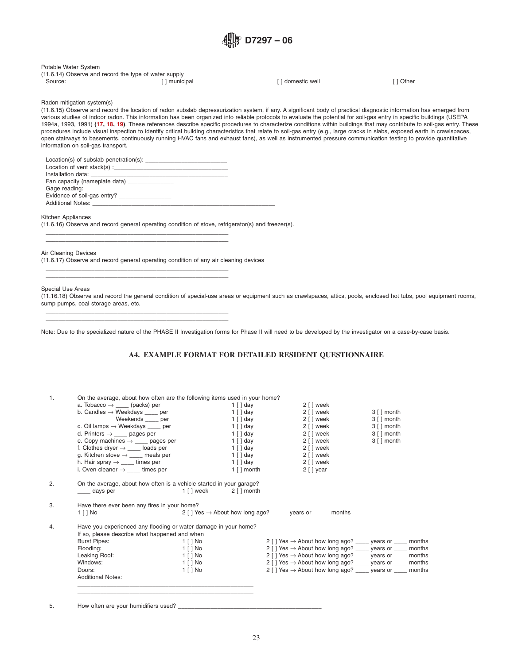#### Potable Water System

|         | (11.6.14) Observe and record the type of water supply |                 |           |
|---------|-------------------------------------------------------|-----------------|-----------|
| Source: | [] municipal                                          | l domestic well | ⊺ i Other |

<span id="page-22-1"></span><span id="page-22-0"></span> $\overline{\phantom{a}}$  , where  $\overline{\phantom{a}}$ 

Radon mitigation system(s)

(11.6.15) Observe and record the location of radon subslab depressurization system, if any. A significant body of practical diagnostic information has emerged from various studies of indoor radon. This information has been organized into reliable protocols to evaluate the potential for soil-gas entry in specific buildings (USEPA 1994a, 1993, 1991) **[\(17,](#page-27-13) [18,](#page-27-14) [19\)](#page-27-15)**. These references describe specific procedures to characterize conditions within buildings that may contribute to soil-gas entry. These procedures include visual inspection to identify critical building characteristics that relate to soil-gas entry (e.g., large cracks in slabs, exposed earth in crawlspaces, open stairways to basements, continuously running HVAC fans and exhaust fans), as well as instrumented pressure communication testing to provide quantitative information on soil-gas transport.

| Additional Notes: Analysis and the set of the set of the set of the set of the set of the set of the set of the set of the set of the set of the set of the set of the set of the set of the set of the set of the set of the |  |
|-------------------------------------------------------------------------------------------------------------------------------------------------------------------------------------------------------------------------------|--|

Kitchen Appliances

(11.6.16) Observe and record general operating condition of stove, refrigerator(s) and freezer(s).

Air Cleaning Devices (11.6.17) Observe and record general operating condition of any air cleaning devices

\_\_\_\_\_\_\_\_\_\_\_\_\_\_\_\_\_\_\_\_\_\_\_\_\_\_\_\_\_\_\_\_\_\_\_\_\_\_\_\_\_\_\_\_\_\_\_\_\_\_\_\_\_\_\_\_ \_\_\_\_\_\_\_\_\_\_\_\_\_\_\_\_\_\_\_\_\_\_\_\_\_\_\_\_\_\_\_\_\_\_\_\_\_\_\_\_\_\_\_\_\_\_\_\_\_\_\_\_\_\_\_\_

\_\_\_\_\_\_\_\_\_\_\_\_\_\_\_\_\_\_\_\_\_\_\_\_\_\_\_\_\_\_\_\_\_\_\_\_\_\_\_\_\_\_\_\_\_\_\_\_\_\_\_\_\_\_\_\_ \_\_\_\_\_\_\_\_\_\_\_\_\_\_\_\_\_\_\_\_\_\_\_\_\_\_\_\_\_\_\_\_\_\_\_\_\_\_\_\_\_\_\_\_\_\_\_\_\_\_\_\_\_\_\_\_

\_\_\_\_\_\_\_\_\_\_\_\_\_\_\_\_\_\_\_\_\_\_\_\_\_\_\_\_\_\_\_\_\_\_\_\_\_\_\_\_\_\_\_\_\_\_\_\_\_\_\_\_\_\_\_\_ \_\_\_\_\_\_\_\_\_\_\_\_\_\_\_\_\_\_\_\_\_\_\_\_\_\_\_\_\_\_\_\_\_\_\_\_\_\_\_\_\_\_\_\_\_\_\_\_\_\_\_\_\_\_\_\_

#### Special Use Areas

(11.16.18) Observe and record the general condition of special-use areas or equipment such as crawlspaces, attics, pools, enclosed hot tubs, pool equipment rooms, sump pumps, coal storage areas, etc.

Note: Due to the specialized nature of the PHASE II Investigation forms for Phase II will need to be developed by the investigator on a case-by-case basis.

#### **A4. EXAMPLE FORMAT FOR DETAILED RESIDENT QUESTIONNAIRE**

| 1. | On the average, about how often are the following items used in your home? |            |                               |                                                                             |                              |
|----|----------------------------------------------------------------------------|------------|-------------------------------|-----------------------------------------------------------------------------|------------------------------|
|    | a. Tobacco $\rightarrow$ ______ (packs) per                                |            | 1 [ ] day                     | $2 \mid \cdot \rangle$ week                                                 |                              |
|    | b. Candles $\rightarrow$ Weekdays $\_\_\_$ per                             |            | $1 \mid$ day                  | 2 [ ] week                                                                  | $3 \mid \cdot \mid$ month    |
|    | Weekends _____ per                                                         |            | $1 \mid$ day                  | 2 [ ] week                                                                  | $3 \mid \cdot \rangle$ month |
|    | c. Oil lamps $\rightarrow$ Weekdays ____ per                               |            | 1 [ ] day                     | 2 [ ] week                                                                  | $3 \mid \cdot \rangle$ month |
|    | d. Printers $\rightarrow$ _____ pages per                                  |            | 1 [ ] day                     | 2 [ ] week                                                                  | $3 \mid \cdot \rangle$ month |
|    | e. Copy machines $\rightarrow$ ____ pages per                              |            | $1 \mid$ day                  | 2 [ ] week                                                                  | $3 \mid \cdot \rangle$ month |
|    | f. Clothes dryer $\rightarrow$ _____ loads per                             |            | 1 [ ] day                     | 2 [ ] week                                                                  |                              |
|    | g. Kitchen stove $\rightarrow$ _____ meals per                             |            | $1 \mid$ day                  | 2 [ ] week                                                                  |                              |
|    | h. Hair spray $\rightarrow$ _____ times per                                |            | 1 [ ] day                     | $2 \mid \cdot \rangle$ week                                                 |                              |
|    | i. Oven cleaner $\rightarrow$ _____ times per                              |            | 1 [ ] month                   | $2 \mid \cdot \rangle$ year                                                 |                              |
| 2. | On the average, about how often is a vehicle started in your garage?       |            |                               |                                                                             |                              |
|    | ___ days per                                                               | 1 [ ] week | $2 \lceil \cdot \rceil$ month |                                                                             |                              |
| 3. | Have there ever been any fires in your home?                               |            |                               |                                                                             |                              |
|    | $1$ [ ] No                                                                 |            |                               | 2 [ ] Yes $\rightarrow$ About how long ago? _______ years or _______ months |                              |
| 4. | Have you experienced any flooding or water damage in your home?            |            |                               |                                                                             |                              |
|    | If so, please describe what happened and when                              |            |                               |                                                                             |                              |
|    | <b>Burst Pipes:</b>                                                        | 1 [ ] No   |                               | 2 [ ] Yes → About how long ago? ____ years or ____ months                   |                              |
|    | Flooding:                                                                  | 1 [ ] No   |                               | 2 [ ] Yes $\rightarrow$ About how long ago? _____ years or _____ months     |                              |
|    | Leaking Roof:                                                              | 1 [ ] No   |                               | 2 [ ] Yes $\rightarrow$ About how long ago? _____ years or _____ months     |                              |
|    | Windows:                                                                   | 1 [ ] No   |                               | 2 [ ] Yes $\rightarrow$ About how long ago? _____ years or _____ months     |                              |
|    | Doors:                                                                     | 1 [ ] No   |                               | 2 [ ] Yes $\rightarrow$ About how long ago? _____ years or _____ months     |                              |
|    | <b>Additional Notes:</b>                                                   |            |                               |                                                                             |                              |
|    |                                                                            |            |                               |                                                                             |                              |
|    |                                                                            |            |                               |                                                                             |                              |

5. How often are your humidifiers used?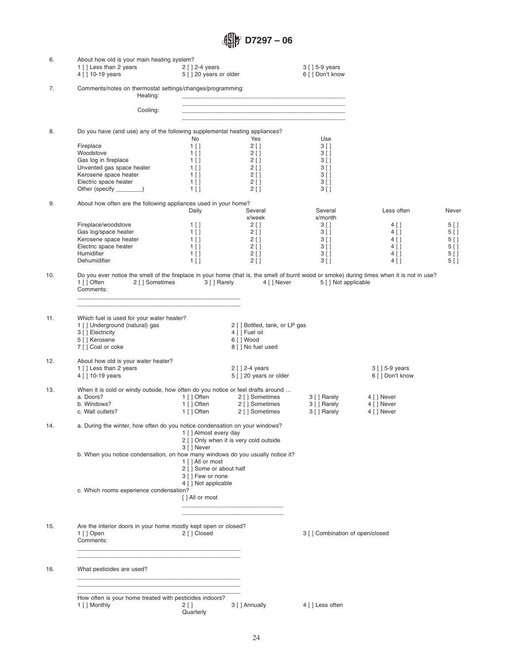| 6.  | About how old is your main heating system?<br>1 [] Less than 2 years<br>4 [ ] 10-19 years                                                                                                                    | $2$ [ ] 2-4 years<br>5 [ ] 20 years or older                                                                                                                                   | $3$ [ ] 5-9 years<br>6 [ ] Don't know                                                                                                                   |                                                                                                                                                          |                                                                 |
|-----|--------------------------------------------------------------------------------------------------------------------------------------------------------------------------------------------------------------|--------------------------------------------------------------------------------------------------------------------------------------------------------------------------------|---------------------------------------------------------------------------------------------------------------------------------------------------------|----------------------------------------------------------------------------------------------------------------------------------------------------------|-----------------------------------------------------------------|
| 7.  | Comments/notes on thermostat settings/changes/programming:<br>Heating:                                                                                                                                       |                                                                                                                                                                                |                                                                                                                                                         |                                                                                                                                                          |                                                                 |
|     | Cooling:                                                                                                                                                                                                     |                                                                                                                                                                                | <u> 1980 - Johann John Stein, fransk politik (f. 1980)</u><br>the control of the control of the control of the control of the control of the control of |                                                                                                                                                          |                                                                 |
| 8.  | Do you have (and use) any of the following supplemental heating appliances?<br>Fireplace<br>Woodstove<br>Gas log in fireplace<br>Unvented gas space heater<br>Kerosene space heater<br>Electric space heater | No<br>$1$ []<br>$1$ [ ]<br>$1$ [ ]<br>$1$ [ ]<br>$1$ [ ]<br>$1$ []<br>$2$ [ ]                                                                                                  | Yes<br>$2 \mid$<br>$2$ [ ]<br>$2$ [ ]<br>$2$ [ ]<br>$2$ [ ]                                                                                             | Use<br>3 <sup>1</sup><br>3 [ ]<br>3 [ ]<br>3 [ ]<br>$3$ []<br>$3$ []                                                                                     |                                                                 |
|     | Other (specify _______)                                                                                                                                                                                      | $1$ []                                                                                                                                                                         | 2 [ ]                                                                                                                                                   | $3$ []                                                                                                                                                   |                                                                 |
| 9.  | About how often are the following appliances used in your home?<br>Fireplace/woodstove<br>Gas log/space heater<br>Kerosene space heater<br>Electric space heater<br>Humidifier<br>Dehumidifier               | Daily<br>$1$ [ ]<br>$1$ []<br>$1$ []<br>$1$ []<br>$1$ []<br>$1$ []<br>$2$ []                                                                                                   | Several<br>x/week<br>$2$ [ ]<br>$2$ [ ]<br>$2$ [ ]<br>$2 \mid$<br>$2$ [ ]                                                                               | Several<br>Less often<br>x/month<br>3 [ ]<br>4 [ ]<br>3 [ ]<br>$4$ [ ]<br>3 [ ]<br>4 [ ]<br>$3 \mid$<br>$4 \mid$<br>$4$ [ ]<br>3 [ ]<br>$3$ []<br>$4$ [] | Never<br>5 [ ]<br>$5$ []<br>$5$ []<br>$5$ []<br>5 [ ]<br>$5$ [] |
| 10. | Do you ever notice the smell of the fireplace in your home (that is, the smell of burnt wood or smoke) during times when it is not in use?<br>1 [ ] Often<br>2 [ ] Sometimes<br>Comments:                    | 3 [ ] Rarely                                                                                                                                                                   | 4 [ ] Never                                                                                                                                             | 5 [ ] Not applicable                                                                                                                                     |                                                                 |
| 11. | Which fuel is used for your water heater?<br>1 [] Underground (natural) gas<br>3 [ ] Electricity<br>5 [ ] Kerosene<br>7 [] Coal or coke                                                                      | 4 [ ] Fuel oil<br>6 [ ] Wood<br>8 [ ] No fuel used                                                                                                                             | 2 [ ] Bottled, tank, or LP gas                                                                                                                          |                                                                                                                                                          |                                                                 |
| 12. | About how old is your water heater?<br>1 [] Less than 2 years<br>4 [ ] 10-19 years                                                                                                                           | $2$ [ ] 2-4 years                                                                                                                                                              | 5 [] 20 years or older                                                                                                                                  | 3 [ ] 5-9 years<br>6 [ ] Don't know                                                                                                                      |                                                                 |
| 13. | When it is cold or windy outside, how often do you notice or feel drafts around<br>a. Doors?<br>b. Windows?<br>c. Wall outlets?                                                                              | 1[] Often<br>2 [ ] Sometimes<br>2 [ ] Sometimes<br>1 [ ] Often<br>1 [ ] Often                                                                                                  | 3 [ ] Rarely<br>3 [ ] Rarely<br>2 [ ] Sometimes<br>3 [ ] Rarely                                                                                         | 4 [ ] Never<br>4 [ ] Never<br>4 [ ] Never                                                                                                                |                                                                 |
| 14. | a. During the winter, how often do you notice condensation on your windows?<br>b. When you notice condensation, on how many windows do you usually notice it?                                                | 1 [ ] Almost every day<br>2 [ ] Only when it is very cold outside<br>3 [ ] Never<br>1 [ ] All or most<br>2 [ ] Some or about half<br>3 [ ] Few or none<br>4 [ ] Not applicable |                                                                                                                                                         |                                                                                                                                                          |                                                                 |
|     | c. Which rooms experience condensation?                                                                                                                                                                      | [ ] All or most                                                                                                                                                                |                                                                                                                                                         |                                                                                                                                                          |                                                                 |
| 15. | Are the interior doors in your home mostly kept open or closed?<br>1 [ ] Open<br>Comments:                                                                                                                   | 2 [ ] Closed                                                                                                                                                                   |                                                                                                                                                         | 3 [ ] Combination of open/closed                                                                                                                         |                                                                 |
| 16. | What pesticides are used?                                                                                                                                                                                    |                                                                                                                                                                                |                                                                                                                                                         |                                                                                                                                                          |                                                                 |
|     | <u> 1989 - Jan Barnett, martin de la componentat de la componentat de la componentat de la componentat de la comp</u><br>How often is your home treated with pesticides indoors?<br>1 [ ] Monthly            | 3 [ ] Annually<br>2 [ ]<br>Quarterly                                                                                                                                           | 4 [ ] Less often                                                                                                                                        |                                                                                                                                                          |                                                                 |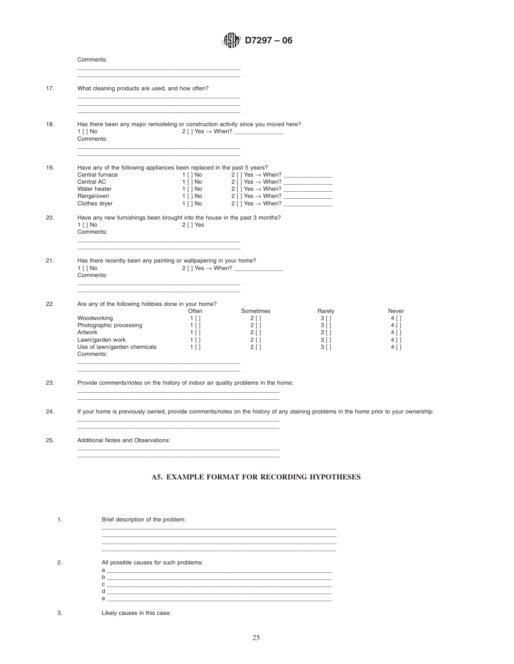| Comments:                                                                                                                                                                                                                |                                                            |                                                                                                                                                                                                                                                                  |                                                          |                                                            |
|--------------------------------------------------------------------------------------------------------------------------------------------------------------------------------------------------------------------------|------------------------------------------------------------|------------------------------------------------------------------------------------------------------------------------------------------------------------------------------------------------------------------------------------------------------------------|----------------------------------------------------------|------------------------------------------------------------|
| What cleaning products are used, and how often?                                                                                                                                                                          |                                                            |                                                                                                                                                                                                                                                                  |                                                          |                                                            |
| the control of the control of the control of the control of the control of the control of<br>Has there been any major remodeling or construction activity since you moved here?<br>$1$ $\lceil$ $\rceil$ No<br>Comments: |                                                            |                                                                                                                                                                                                                                                                  |                                                          |                                                            |
| Have any of the following appliances been replaced in the past 5 years?<br>Central furnace<br>Central AC                                                                                                                 |                                                            |                                                                                                                                                                                                                                                                  |                                                          |                                                            |
| Water heater<br>Range/oven<br>Clothes dryer                                                                                                                                                                              |                                                            | $1 \mid N0$<br>$2 \mid Y$ os $\rightarrow$ When?<br>$1 \mid N0$<br>$2 \mid Y$ os $\rightarrow$ When?<br>$1 \mid N0$<br>$2 \mid Y$ os $\rightarrow$ When?<br>$1 \mid N0$<br>$2 \mid Y$ os $\rightarrow$ When?<br>$1 \mid N0$<br>$2 \mid Y$ os $\rightarrow$ When? |                                                          |                                                            |
| Have any new furnishings been brought into the house in the past 3 months?<br>$1$ $\mid$ $\mid$ No<br>Comments:                                                                                                          | 2 [ ] Yes                                                  |                                                                                                                                                                                                                                                                  |                                                          |                                                            |
| Has there recently been any painting or wallpapering in your home?<br>$1$ $\mid$ $\mid$ No<br>Comments:                                                                                                                  |                                                            |                                                                                                                                                                                                                                                                  |                                                          |                                                            |
| Are any of the following hobbies done in your home?                                                                                                                                                                      |                                                            |                                                                                                                                                                                                                                                                  |                                                          |                                                            |
| Woodworking<br>Photographic processing<br>Artwork<br>Lawn/garden work<br>Use of lawn/garden chemicals<br>Comments:                                                                                                       | Often<br>$1$ []<br>$1$ [ ]<br>$1$ [ ]<br>$1$ [ ]<br>$1$ [] | Sometimes<br>$2 \mid$<br>$2$ [ ]<br>$2$ [ ]<br>$2$ [ ]<br>$2 \mid$                                                                                                                                                                                               | Rarely<br>3 [ ]<br>$3$ [ ]<br>3 [ ]<br>3 [ ]<br>$3 \mid$ | Never<br>$4$ [ ]<br>$4$ []<br>$4$ [ ]<br>$4$ [ ]<br>$4$ [] |
| Provide comments/notes on the history of indoor air quality problems in the home:<br><u> 1980 - Jan Samuel Barbara, margaret eta biztanleria (h. 1980).</u>                                                              |                                                            |                                                                                                                                                                                                                                                                  |                                                          |                                                            |
| If your home is previously owned, provide comments/notes on the history of any staining problems in the home prior to your ownership                                                                                     |                                                            |                                                                                                                                                                                                                                                                  |                                                          |                                                            |
|                                                                                                                                                                                                                          | <b>Additional Notes and Observations:</b>                  |                                                                                                                                                                                                                                                                  |                                                          |                                                            |

## <span id="page-24-0"></span>**A5. EXAMPLE FORMAT FOR RECORDING HYPOTHESES**

| Brief description of the problem:                                                 |
|-----------------------------------------------------------------------------------|
| ,我们也不能会在这里,我们的人们就会在这里,我们也不能会在这里,我们也不能会在这里,我们也不能会在这里,我们也不能会在这里,我们也不能会在这里,我们也不能会在这里 |
|                                                                                   |
| All possible causes for such problems:                                            |
|                                                                                   |
|                                                                                   |
| $\mathbf{a}$ $\overline{\phantom{a}}$<br>h.                                       |
|                                                                                   |
| $\circ$ $\overline{\phantom{a}}$                                                  |

 $\overline{a}$  , and the contribution of the contribution of the contribution of the contribution of the contribution of the contribution of the contribution of the contribution of the contribution of the contribution of the co  $\overline{a}$  , and the contribution of the contribution of the contribution of the contribution of the contribution of the contribution of the contribution of the contribution of the contribution of the contribution of the co

3. Likely causes in this case: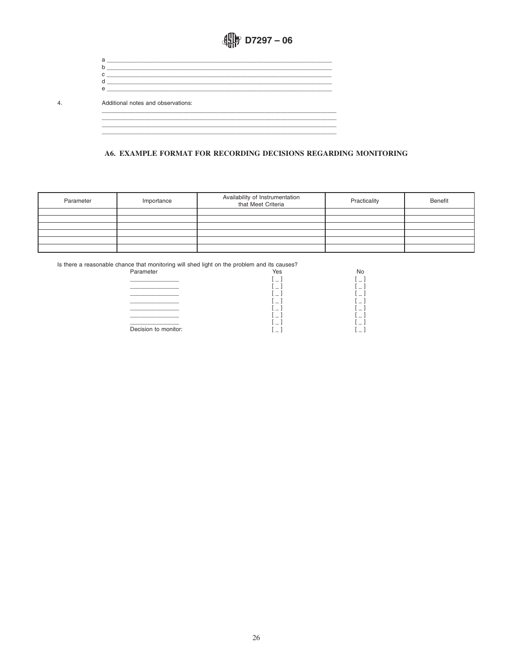<span id="page-25-0"></span>

| a                                                                                                                   |                                                                                                                      |  |
|---------------------------------------------------------------------------------------------------------------------|----------------------------------------------------------------------------------------------------------------------|--|
|                                                                                                                     |                                                                                                                      |  |
| c                                                                                                                   | <u> 1980 - Jan Stein Stein Stein Stein Stein Stein Stein Stein Stein Stein Stein Stein Stein Stein Stein Stein S</u> |  |
| <u> 1990 - John Stein, Amerikaans en beskriuw fan de Fryske kommunister fan de Fryske kommunister fan de Fryske</u> |                                                                                                                      |  |
| $\Theta$                                                                                                            |                                                                                                                      |  |
| Additional notes and observations:                                                                                  |                                                                                                                      |  |
|                                                                                                                     |                                                                                                                      |  |
|                                                                                                                     |                                                                                                                      |  |
|                                                                                                                     |                                                                                                                      |  |

A6. EXAMPLE FORMAT FOR RECORDING DECISIONS REGARDING MONITORING

| Parameter | Importance | Availability of Instrumentation<br>that Meet Criteria | Practicality | Benefit |
|-----------|------------|-------------------------------------------------------|--------------|---------|
|           |            |                                                       |              |         |
|           |            |                                                       |              |         |
|           |            |                                                       |              |         |
|           |            |                                                       |              |         |
|           |            |                                                       |              |         |
|           |            |                                                       |              |         |

 $4.$ 

| Parameter            | Yes                      | No |
|----------------------|--------------------------|----|
|                      |                          |    |
|                      |                          |    |
|                      |                          |    |
|                      |                          |    |
|                      |                          |    |
|                      | $\overline{\phantom{a}}$ |    |
|                      |                          |    |
| Decision to monitor: |                          |    |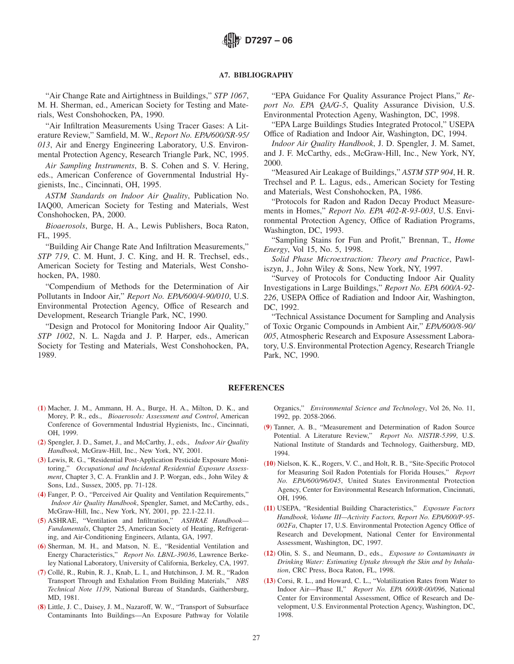### **A7. BIBLIOGRAPHY**

"Air Change Rate and Airtightness in Buildings," *STP 1067*, M. H. Sherman, ed., American Society for Testing and Materials, West Conshohocken, PA, 1990.

"Air Infiltration Measurements Using Tracer Gases: A Literature Review," Samfield, M. W., *Report No. EPA/600/SR-95/ 013*, Air and Energy Engineering Laboratory, U.S. Environmental Protection Agency, Research Triangle Park, NC, 1995.

*Air Sampling Instruments*, B. S. Cohen and S. V. Hering, eds., American Conference of Governmental Industrial Hygienists, Inc., Cincinnati, OH, 1995.

*ASTM Standards on Indoor Air Quality*, Publication No. IAQ00, American Society for Testing and Materials, West Conshohocken, PA, 2000.

*Bioaerosols*, Burge, H. A., Lewis Publishers, Boca Raton, FL, 1995.

"Building Air Change Rate And Infiltration Measurements," *STP 719*, C. M. Hunt, J. C. King, and H. R. Trechsel, eds., American Society for Testing and Materials, West Conshohocken, PA, 1980.

"Compendium of Methods for the Determination of Air Pollutants in Indoor Air," *Report No. EPA/600/4-90/010*, U.S. Environmental Protection Agency, Office of Research and Development, Research Triangle Park, NC, 1990.

"Design and Protocol for Monitoring Indoor Air Quality," *STP 1002*, N. L. Nagda and J. P. Harper, eds., American Society for Testing and Materials, West Conshohocken, PA, 1989.

<span id="page-26-0"></span>"EPA Guidance For Quality Assurance Project Plans," *Report No. EPA QA/G-5*, Quality Assurance Division, U.S. Environmental Protection Ageny, Washington, DC, 1998.

"EPA Large Buildings Studies Integrated Protocol," USEPA Office of Radiation and Indoor Air, Washington, DC, 1994.

*Indoor Air Quality Handbook*, J. D. Spengler, J. M. Samet, and J. F. McCarthy, eds., McGraw-Hill, Inc., New York, NY, 2000.

"Measured Air Leakage of Buildings," *ASTM STP 904*, H. R. Trechsel and P. L. Lagus, eds., American Society for Testing and Materials, West Conshohocken, PA, 1986.

"Protocols for Radon and Radon Decay Product Measurements in Homes," *Report No. EPA 402-R-93-003*, U.S. Environmental Protection Agency, Office of Radiation Programs, Washington, DC, 1993.

"Sampling Stains for Fun and Profit," Brennan, T., *Home Energy*, Vol 15, No. 5, 1998.

*Solid Phase Microextraction: Theory and Practice*, Pawliszyn, J., John Wiley & Sons, New York, NY, 1997.

"Survey of Protocols for Conducting Indoor Air Quality Investigations in Large Buildings," *Report No. EPA 600/A-92- 226*, USEPA Office of Radiation and Indoor Air, Washington, DC, 1992.

"Technical Assistance Document for Sampling and Analysis of Toxic Organic Compounds in Ambient Air," *EPA/600/8-90/ 005*, Atmospheric Research and Exposure Assessment Laboratory, U.S. Environmental Protection Agency, Research Triangle Park, NC, 1990.

#### **REFERENCES**

- (**[1](#page-2-0)**) Macher, J. M., Ammann, H. A., Burge, H. A., Milton, D. K., and Morey, P. R., eds., *Bioaerosols: Assessment and Control*, American Conference of Governmental Industrial Hygienists, Inc., Cincinnati, OH, 1999.
- (**[2](#page-2-0)**) Spengler, J. D., Samet, J., and McCarthy, J., eds., *Indoor Air Quality Handbook*, McGraw-Hill, Inc., New York, NY, 2001.
- (**[3](#page-2-1)**) Lewis, R. G., "Residential Post-Application Pesticide Exposure Monitoring," *Occupational and Incidental Residential Exposure Assessment*, Chapter 3, C. A. Franklin and J. P. Worgan, eds., John Wiley & Sons, Ltd., Sussex, 2005, pp. 71-128.
- (**[4](#page-2-2)**) Fanger, P. O., "Perceived Air Quality and Ventilation Requirements," *Indoor Air Quality Handbook*, Spengler, Samet, and McCarthy, eds., McGraw-Hill, Inc., New York, NY, 2001, pp. 22.1-22.11.
- (**[5](#page-3-11)**) ASHRAE, "Ventilation and Infiltration," *ASHRAE Handbook— Fundamentals*, Chapter 25, American Society of Heating, Refrigerating, and Air-Conditioning Engineers, Atlanta, GA, 1997.
- (**[6](#page-3-12)**) Sherman, M. H., and Matson, N. E., "Residential Ventilation and Energy Characteristics," *Report No. LBNL-39036*, Lawrence Berkeley National Laboratory, University of California, Berkeley, CA, 1997.
- (**[7](#page-3-13)**) Collé, R., Rubin, R. J., Knab, L. I., and Hutchinson, J. M. R., "Radon Transport Through and Exhalation From Building Materials," *NBS Technical Note 1139*, National Bureau of Standards, Gaithersburg, MD, 1981.
- (**[8](#page-3-13)**) Little, J. C., Daisey, J. M., Nazaroff, W. W., "Transport of Subsurface Contaminants Into Buildings—An Exposure Pathway for Volatile

<span id="page-26-13"></span><span id="page-26-2"></span><span id="page-26-1"></span>Organics," *Environmental Science and Technology*, Vol 26, No. 11, 1992, pp. 2058-2066.

- <span id="page-26-12"></span>(**[9](#page-3-13)**) Tanner, A. B., "Measurement and Determination of Radon Source Potential. A Literature Review," *Report No. NISTIR-5399*, U.S. National Institute of Standards and Technology, Gaithersburg, MD, 1994.
- <span id="page-26-8"></span>(**[10](#page-3-10)**) Nielson, K. K., Rogers, V. C., and Holt, R. B., "Site-Specific Protocol for Measuring Soil Radon Potentials for Florida Houses," *Report No. EPA/600/96/045*, United States Environmental Protection Agency, Center for Environmental Research Information, Cincinnati, OH, 1996.
- <span id="page-26-9"></span><span id="page-26-4"></span><span id="page-26-3"></span>(**[11](#page-4-5)**) USEPA, "Residential Building Characteristics," *Exposure Factors Handbook, Volume III—Activity Factors, Report No. EPA/600/P-95- 002Fa*, Chapter 17, U.S. Environmental Protection Agency Office of Research and Development, National Center for Environmental Assessment, Washington, DC, 1997.
- <span id="page-26-11"></span><span id="page-26-10"></span><span id="page-26-7"></span><span id="page-26-5"></span>(**[12](#page-4-6)**) Olin, S. S., and Neumann, D., eds., *Exposure to Contaminants in Drinking Water: Estimating Uptake through the Skin and by Inhalation*, CRC Press, Boca Raton, FL, 1998.
- <span id="page-26-6"></span>(**[13](#page-4-7)**) Corsi, R. L., and Howard, C. L., "Volatilization Rates from Water to Indoor Air—Phase II," *Report No. EPA 600/R-00/096*, National Center for Environmental Assessment, Office of Research and Development, U.S. Environmental Protection Agency, Washington, DC, 1998.